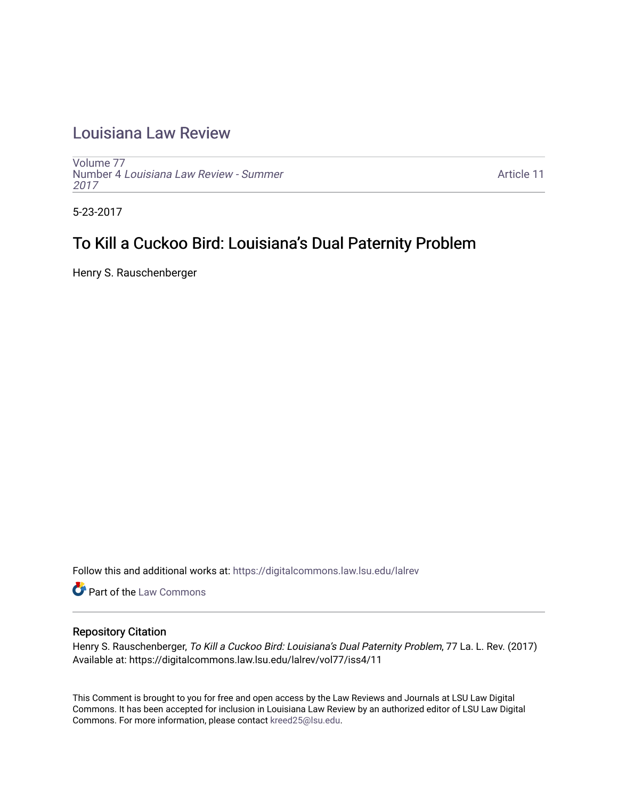## [Louisiana Law Review](https://digitalcommons.law.lsu.edu/lalrev)

[Volume 77](https://digitalcommons.law.lsu.edu/lalrev/vol77) Number 4 [Louisiana Law Review - Summer](https://digitalcommons.law.lsu.edu/lalrev/vol77/iss4) [2017](https://digitalcommons.law.lsu.edu/lalrev/vol77/iss4) 

[Article 11](https://digitalcommons.law.lsu.edu/lalrev/vol77/iss4/11) 

5-23-2017

# To Kill a Cuckoo Bird: Louisiana's Dual Paternity Problem

Henry S. Rauschenberger

Follow this and additional works at: [https://digitalcommons.law.lsu.edu/lalrev](https://digitalcommons.law.lsu.edu/lalrev?utm_source=digitalcommons.law.lsu.edu%2Flalrev%2Fvol77%2Fiss4%2F11&utm_medium=PDF&utm_campaign=PDFCoverPages)

**Part of the [Law Commons](http://network.bepress.com/hgg/discipline/578?utm_source=digitalcommons.law.lsu.edu%2Flalrev%2Fvol77%2Fiss4%2F11&utm_medium=PDF&utm_campaign=PDFCoverPages)** 

## Repository Citation

Henry S. Rauschenberger, To Kill a Cuckoo Bird: Louisiana's Dual Paternity Problem, 77 La. L. Rev. (2017) Available at: https://digitalcommons.law.lsu.edu/lalrev/vol77/iss4/11

This Comment is brought to you for free and open access by the Law Reviews and Journals at LSU Law Digital Commons. It has been accepted for inclusion in Louisiana Law Review by an authorized editor of LSU Law Digital Commons. For more information, please contact [kreed25@lsu.edu](mailto:kreed25@lsu.edu).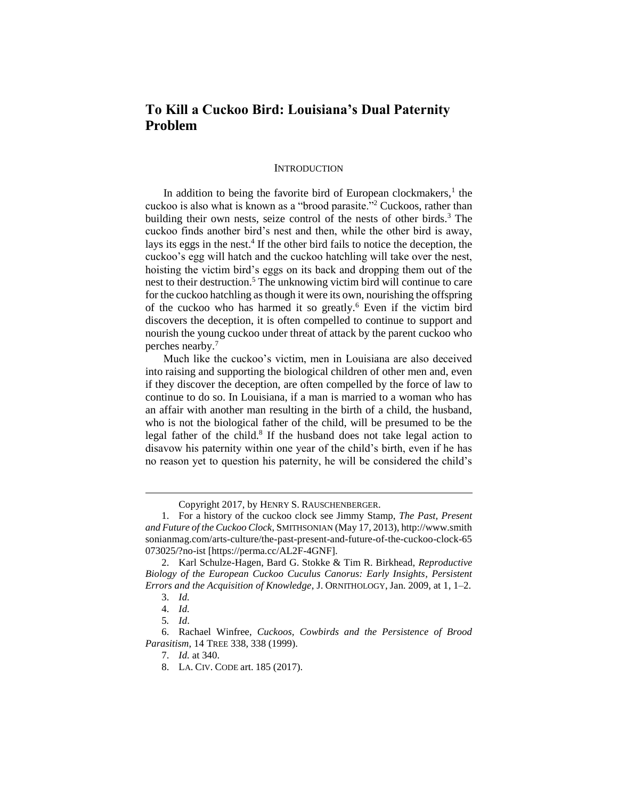## **To Kill a Cuckoo Bird: Louisiana's Dual Paternity Problem**

#### **INTRODUCTION**

In addition to being the favorite bird of European clockmakers, $<sup>1</sup>$  the</sup> cuckoo is also what is known as a "brood parasite."<sup>2</sup> Cuckoos, rather than building their own nests, seize control of the nests of other birds. $3$  The cuckoo finds another bird's nest and then, while the other bird is away, lays its eggs in the nest.<sup>4</sup> If the other bird fails to notice the deception, the cuckoo's egg will hatch and the cuckoo hatchling will take over the nest, hoisting the victim bird's eggs on its back and dropping them out of the nest to their destruction.<sup>5</sup> The unknowing victim bird will continue to care for the cuckoo hatchling as though it were its own, nourishing the offspring of the cuckoo who has harmed it so greatly.<sup>6</sup> Even if the victim bird discovers the deception, it is often compelled to continue to support and nourish the young cuckoo under threat of attack by the parent cuckoo who perches nearby.<sup>7</sup>

Much like the cuckoo's victim, men in Louisiana are also deceived into raising and supporting the biological children of other men and, even if they discover the deception, are often compelled by the force of law to continue to do so. In Louisiana, if a man is married to a woman who has an affair with another man resulting in the birth of a child, the husband, who is not the biological father of the child, will be presumed to be the legal father of the child.<sup>8</sup> If the husband does not take legal action to disavow his paternity within one year of the child's birth, even if he has no reason yet to question his paternity, he will be considered the child's

Copyright 2017, by HENRY S. RAUSCHENBERGER.

<sup>1.</sup> For a history of the cuckoo clock see Jimmy Stamp, *The Past, Present and Future of the Cuckoo Clock*, SMITHSONIAN (May 17, 2013), http://www.smith sonianmag.com/arts-culture/the-past-present-and-future-of-the-cuckoo-clock-65 073025/?no-ist [https://perma.cc/AL2F-4GNF].

<sup>2.</sup> Karl Schulze-Hagen, Bard G. Stokke & Tim R. Birkhead, *Reproductive Biology of the European Cuckoo Cuculus Canorus: Early Insights, Persistent Errors and the Acquisition of Knowledge*, J. ORNITHOLOGY, Jan. 2009, at 1, 1–2.

<sup>3.</sup> *Id.*

<sup>4.</sup> *Id.*

<sup>5</sup>*. Id*.

<sup>6.</sup> Rachael Winfree, *Cuckoos, Cowbirds and the Persistence of Brood Parasitism*, 14 TREE 338, 338 (1999).

<sup>7.</sup> *Id.* at 340.

<sup>8.</sup> LA. CIV. CODE art. 185 (2017).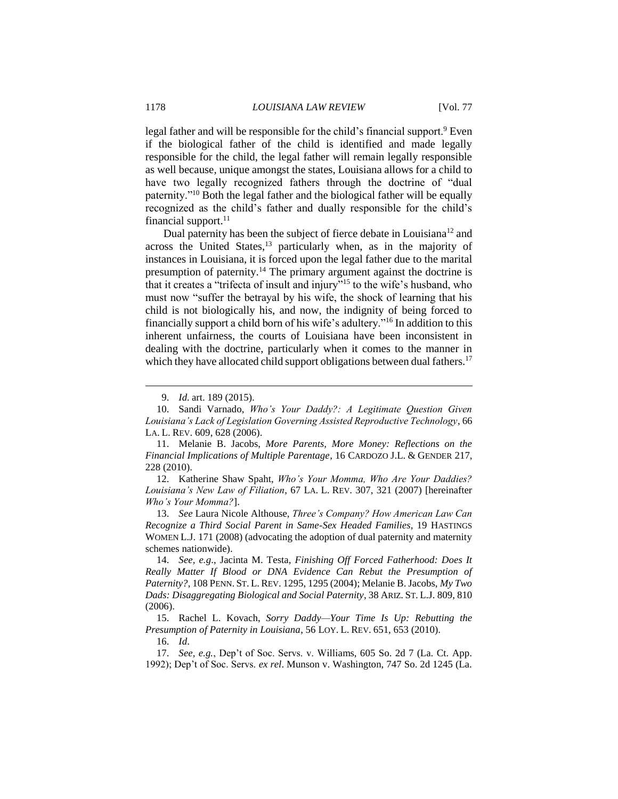legal father and will be responsible for the child's financial support.<sup>9</sup> Even if the biological father of the child is identified and made legally responsible for the child, the legal father will remain legally responsible as well because, unique amongst the states, Louisiana allows for a child to have two legally recognized fathers through the doctrine of "dual paternity."<sup>10</sup> Both the legal father and the biological father will be equally recognized as the child's father and dually responsible for the child's financial support. $^{11}$ 

Dual paternity has been the subject of fierce debate in Louisiana<sup>12</sup> and across the United States,<sup>13</sup> particularly when, as in the majority of instances in Louisiana, it is forced upon the legal father due to the marital presumption of paternity.<sup>14</sup> The primary argument against the doctrine is that it creates a "trifecta of insult and injury"<sup>15</sup> to the wife's husband, who must now "suffer the betrayal by his wife, the shock of learning that his child is not biologically his, and now, the indignity of being forced to financially support a child born of his wife's adultery."<sup>16</sup> In addition to this inherent unfairness, the courts of Louisiana have been inconsistent in dealing with the doctrine, particularly when it comes to the manner in which they have allocated child support obligations between dual fathers.<sup>17</sup>

<sup>9.</sup> *Id.* art. 189 (2015).

<sup>10.</sup> Sandi Varnado, *Who's Your Daddy?: A Legitimate Question Given Louisiana's Lack of Legislation Governing Assisted Reproductive Technology*, 66 LA. L. REV. 609, 628 (2006).

<sup>11.</sup> Melanie B. Jacobs, *More Parents, More Money: Reflections on the Financial Implications of Multiple Parentage*, 16 CARDOZO J.L. & GENDER 217, 228 (2010).

<sup>12.</sup> Katherine Shaw Spaht, *Who's Your Momma, Who Are Your Daddies? Louisiana's New Law of Filiation*, 67 LA. L. REV. 307, 321 (2007) [hereinafter *Who's Your Momma?*].

<sup>13.</sup> *See* Laura Nicole Althouse, *Three's Company? How American Law Can Recognize a Third Social Parent in Same-Sex Headed Families*, 19 HASTINGS WOMEN L.J. 171 (2008) (advocating the adoption of dual paternity and maternity schemes nationwide).

<sup>14.</sup> *See, e.g*., Jacinta M. Testa, *Finishing Off Forced Fatherhood: Does It Really Matter If Blood or DNA Evidence Can Rebut the Presumption of Paternity?*, 108 PENN. ST. L. REV. 1295, 1295 (2004); Melanie B. Jacobs, *My Two Dads: Disaggregating Biological and Social Paternity*, 38 ARIZ. ST. L.J. 809, 810 (2006).

<sup>15.</sup> Rachel L. Kovach, *Sorry Daddy—Your Time Is Up: Rebutting the Presumption of Paternity in Louisiana*, 56 LOY. L. REV. 651, 653 (2010).

<sup>16.</sup> *Id*.

<sup>17.</sup> *See, e.g.*, Dep't of Soc. Servs. v. Williams, 605 So. 2d 7 (La. Ct. App. 1992); Dep't of Soc. Servs. *ex rel*. Munson v. Washington, 747 So. 2d 1245 (La.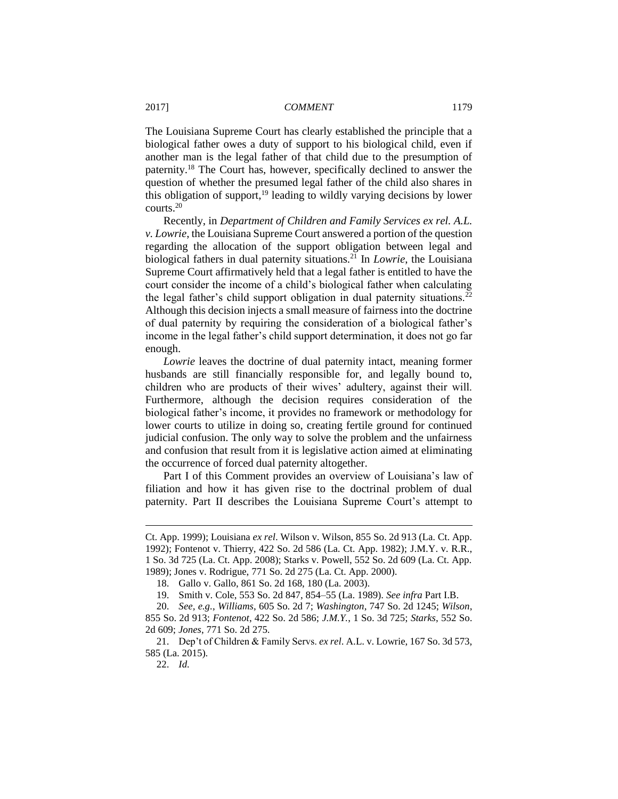The Louisiana Supreme Court has clearly established the principle that a biological father owes a duty of support to his biological child, even if another man is the legal father of that child due to the presumption of paternity.<sup>18</sup> The Court has, however, specifically declined to answer the question of whether the presumed legal father of the child also shares in this obligation of support, $19$  leading to wildly varying decisions by lower courts.<sup>20</sup>

Recently, in *Department of Children and Family Services ex rel. A.L. v. Lowrie*, the Louisiana Supreme Court answered a portion of the question regarding the allocation of the support obligation between legal and biological fathers in dual paternity situations.<sup>21</sup> In *Lowrie*, the Louisiana Supreme Court affirmatively held that a legal father is entitled to have the court consider the income of a child's biological father when calculating the legal father's child support obligation in dual paternity situations.<sup>22</sup> Although this decision injects a small measure of fairness into the doctrine of dual paternity by requiring the consideration of a biological father's income in the legal father's child support determination, it does not go far enough.

*Lowrie* leaves the doctrine of dual paternity intact, meaning former husbands are still financially responsible for, and legally bound to, children who are products of their wives' adultery, against their will. Furthermore, although the decision requires consideration of the biological father's income, it provides no framework or methodology for lower courts to utilize in doing so, creating fertile ground for continued judicial confusion. The only way to solve the problem and the unfairness and confusion that result from it is legislative action aimed at eliminating the occurrence of forced dual paternity altogether.

Part I of this Comment provides an overview of Louisiana's law of filiation and how it has given rise to the doctrinal problem of dual paternity. Part II describes the Louisiana Supreme Court's attempt to

Ct. App. 1999); Louisiana *ex rel*. Wilson v. Wilson, 855 So. 2d 913 (La. Ct. App. 1992); Fontenot v. Thierry, 422 So. 2d 586 (La. Ct. App. 1982); J.M.Y. v. R.R., 1 So. 3d 725 (La. Ct. App. 2008); Starks v. Powell, 552 So. 2d 609 (La. Ct. App. 1989); Jones v. Rodrigue, 771 So. 2d 275 (La. Ct. App. 2000).

<sup>18.</sup> Gallo v. Gallo, 861 So. 2d 168, 180 (La. 2003).

<sup>19.</sup> Smith v. Cole, 553 So. 2d 847, 854–55 (La. 1989). *See infra* Part I.B.

<sup>20.</sup> *See, e.g.*, *Williams*, 605 So. 2d 7; *Washington*, 747 So. 2d 1245; *Wilson*, 855 So. 2d 913; *Fontenot*, 422 So. 2d 586; *J.M.Y.*, 1 So. 3d 725; *Starks*, 552 So. 2d 609; *Jones*, 771 So. 2d 275.

<sup>21.</sup> Dep't of Children & Family Servs. *ex rel*. A.L. v. Lowrie, 167 So. 3d 573, 585 (La. 2015).

<sup>22.</sup> *Id.*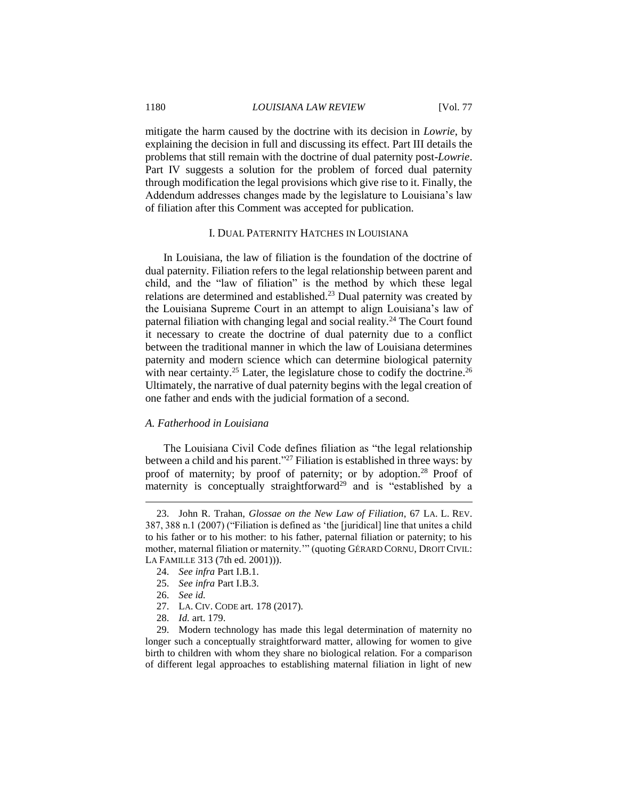mitigate the harm caused by the doctrine with its decision in *Lowrie*, by explaining the decision in full and discussing its effect. Part III details the problems that still remain with the doctrine of dual paternity post-*Lowrie*. Part IV suggests a solution for the problem of forced dual paternity through modification the legal provisions which give rise to it. Finally, the Addendum addresses changes made by the legislature to Louisiana's law of filiation after this Comment was accepted for publication.

#### I. DUAL PATERNITY HATCHES IN LOUISIANA

In Louisiana, the law of filiation is the foundation of the doctrine of dual paternity. Filiation refers to the legal relationship between parent and child, and the "law of filiation" is the method by which these legal relations are determined and established.<sup>23</sup> Dual paternity was created by the Louisiana Supreme Court in an attempt to align Louisiana's law of paternal filiation with changing legal and social reality.<sup>24</sup> The Court found it necessary to create the doctrine of dual paternity due to a conflict between the traditional manner in which the law of Louisiana determines paternity and modern science which can determine biological paternity with near certainty.<sup>25</sup> Later, the legislature chose to codify the doctrine.<sup>26</sup> Ultimately, the narrative of dual paternity begins with the legal creation of one father and ends with the judicial formation of a second.

#### *A. Fatherhood in Louisiana*

The Louisiana Civil Code defines filiation as "the legal relationship between a child and his parent."<sup>27</sup> Filiation is established in three ways: by proof of maternity; by proof of paternity; or by adoption.<sup>28</sup> Proof of maternity is conceptually straightforward<sup>29</sup> and is "established by a

25. *See infra* Part I.B.3.

 $\overline{a}$ 

- 27. LA. CIV. CODE art. 178 (2017).
- 28. *Id.* art. 179.

29. Modern technology has made this legal determination of maternity no longer such a conceptually straightforward matter, allowing for women to give birth to children with whom they share no biological relation. For a comparison of different legal approaches to establishing maternal filiation in light of new

<sup>23.</sup> John R. Trahan, *Glossae on the New Law of Filiation*, 67 LA. L. REV. 387, 388 n.1 (2007) ("Filiation is defined as 'the [juridical] line that unites a child to his father or to his mother: to his father, paternal filiation or paternity; to his mother, maternal filiation or maternity.'" (quoting GÉRARD CORNU, DROIT CIVIL: LA FAMILLE 313 (7th ed. 2001))).

<sup>24.</sup> *See infra* Part I.B.1.

<sup>26.</sup> *See id.*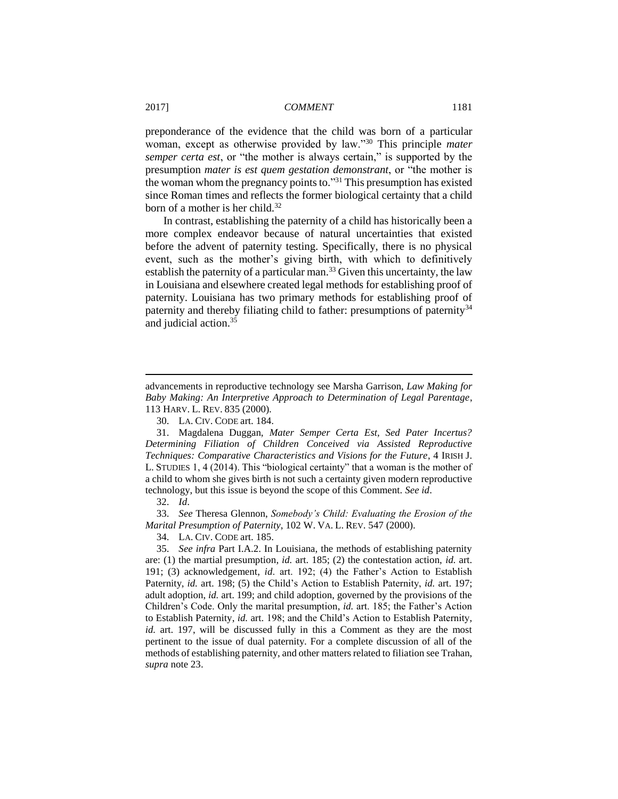preponderance of the evidence that the child was born of a particular woman, except as otherwise provided by law."<sup>30</sup> This principle *mater semper certa est*, or "the mother is always certain," is supported by the presumption *mater is est quem gestation demonstrant*, or "the mother is the woman whom the pregnancy points to."<sup>31</sup> This presumption has existed since Roman times and reflects the former biological certainty that a child born of a mother is her child.<sup>32</sup>

In contrast, establishing the paternity of a child has historically been a more complex endeavor because of natural uncertainties that existed before the advent of paternity testing. Specifically, there is no physical event, such as the mother's giving birth, with which to definitively establish the paternity of a particular man.<sup>33</sup> Given this uncertainty, the law in Louisiana and elsewhere created legal methods for establishing proof of paternity. Louisiana has two primary methods for establishing proof of paternity and thereby filiating child to father: presumptions of paternity<sup>34</sup> and judicial action.<sup>35</sup>

 $\overline{a}$ 

33. *See* Theresa Glennon, *Somebody's Child: Evaluating the Erosion of the Marital Presumption of Paternity*, 102 W. VA. L. REV. 547 (2000).

34. LA. CIV. CODE art. 185.

advancements in reproductive technology see Marsha Garrison, *Law Making for Baby Making: An Interpretive Approach to Determination of Legal Parentage*, 113 HARV. L. REV. 835 (2000).

<sup>30.</sup> LA. CIV. CODE art. 184.

<sup>31.</sup> Magdalena Duggan, *Mater Semper Certa Est, Sed Pater Incertus? Determining Filiation of Children Conceived via Assisted Reproductive Techniques: Comparative Characteristics and Visions for the Future*, 4 IRISH J. L. STUDIES 1, 4 (2014). This "biological certainty" that a woman is the mother of a child to whom she gives birth is not such a certainty given modern reproductive technology, but this issue is beyond the scope of this Comment. *See id*.

<sup>32.</sup> *Id*.

<sup>35.</sup> *See infra* Part I.A.2. In Louisiana, the methods of establishing paternity are: (1) the martial presumption, *id.* art. 185; (2) the contestation action, *id.* art. 191; (3) acknowledgement, *id*. art. 192; (4) the Father's Action to Establish Paternity, *id.* art. 198; (5) the Child's Action to Establish Paternity, *id.* art. 197; adult adoption, *id.* art. 199; and child adoption, governed by the provisions of the Children's Code. Only the marital presumption, *id.* art. 185; the Father's Action to Establish Paternity, *id.* art. 198; and the Child's Action to Establish Paternity, *id.* art. 197, will be discussed fully in this a Comment as they are the most pertinent to the issue of dual paternity. For a complete discussion of all of the methods of establishing paternity, and other matters related to filiation see Trahan, *supra* note 23.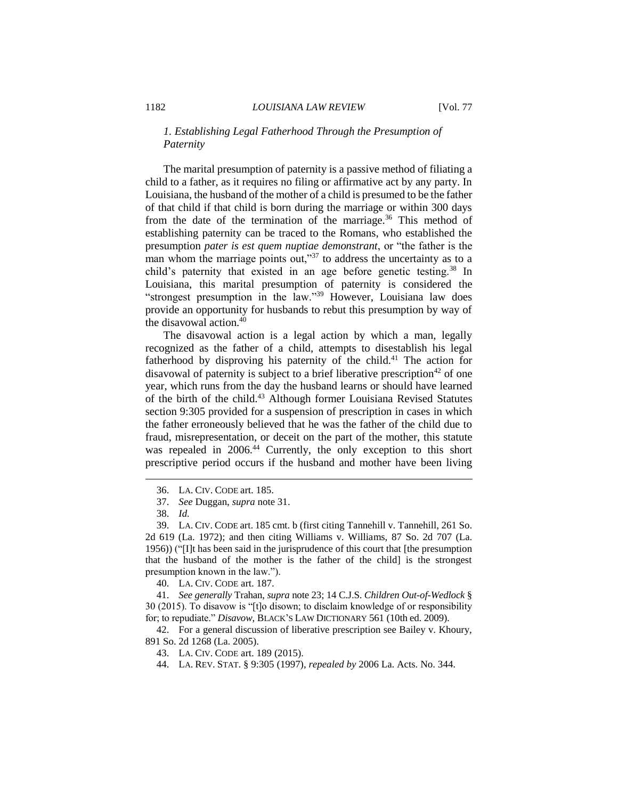## *1. Establishing Legal Fatherhood Through the Presumption of Paternity*

The marital presumption of paternity is a passive method of filiating a child to a father, as it requires no filing or affirmative act by any party. In Louisiana, the husband of the mother of a child is presumed to be the father of that child if that child is born during the marriage or within 300 days from the date of the termination of the marriage.<sup>36</sup> This method of establishing paternity can be traced to the Romans, who established the presumption *pater is est quem nuptiae demonstrant*, or "the father is the man whom the marriage points out,"<sup>37</sup> to address the uncertainty as to a child's paternity that existed in an age before genetic testing.<sup>38</sup> In Louisiana, this marital presumption of paternity is considered the "strongest presumption in the law."<sup>39</sup> However, Louisiana law does provide an opportunity for husbands to rebut this presumption by way of the disavowal action.<sup>40</sup>

The disavowal action is a legal action by which a man, legally recognized as the father of a child, attempts to disestablish his legal fatherhood by disproving his paternity of the child.<sup>41</sup> The action for disavowal of paternity is subject to a brief liberative prescription<sup>42</sup> of one year, which runs from the day the husband learns or should have learned of the birth of the child.<sup>43</sup> Although former Louisiana Revised Statutes section 9:305 provided for a suspension of prescription in cases in which the father erroneously believed that he was the father of the child due to fraud, misrepresentation, or deceit on the part of the mother, this statute was repealed in 2006.<sup>44</sup> Currently, the only exception to this short prescriptive period occurs if the husband and mother have been living

 $\overline{a}$ 

40. LA. CIV. CODE art. 187.

41. *See generally* Trahan, *supra* note 23; 14 C.J.S. *Children Out-of-Wedlock* § 30 (2015). To disavow is "[t]o disown; to disclaim knowledge of or responsibility for; to repudiate." *Disavow*, BLACK'S LAW DICTIONARY 561 (10th ed. 2009).

42. For a general discussion of liberative prescription see Bailey v. Khoury, 891 So. 2d 1268 (La. 2005).

- 43. LA. CIV. CODE art. 189 (2015).
- 44. LA. REV. STAT. § 9:305 (1997), *repealed by* 2006 La. Acts. No. 344.

<sup>36.</sup> LA. CIV. CODE art. 185.

<sup>37.</sup> *See* Duggan, *supra* note 31.

<sup>38.</sup> *Id.*

<sup>39.</sup> LA. CIV. CODE art. 185 cmt. b (first citing Tannehill v. Tannehill, 261 So. 2d 619 (La. 1972); and then citing Williams v. Williams, 87 So. 2d 707 (La. 1956)) ("[I]t has been said in the jurisprudence of this court that [the presumption that the husband of the mother is the father of the child] is the strongest presumption known in the law.").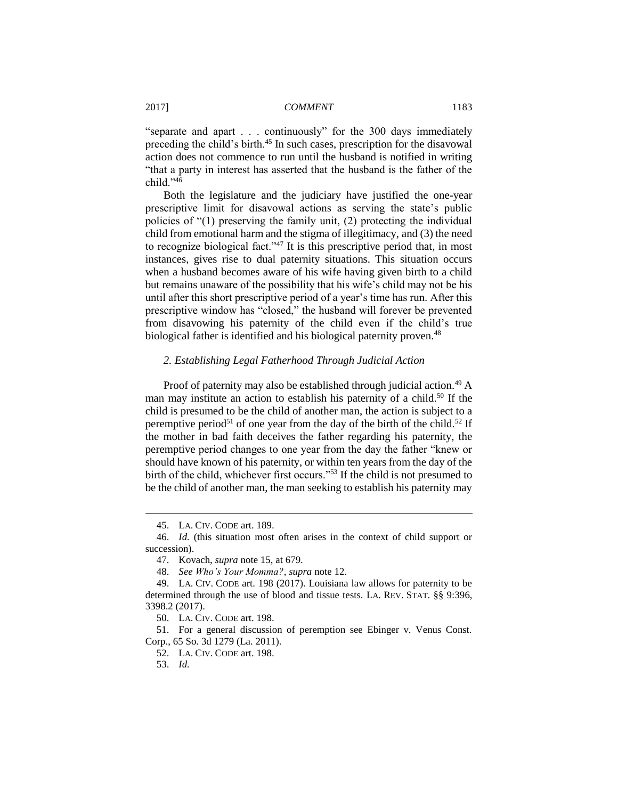"separate and apart . . . continuously" for the 300 days immediately preceding the child's birth.<sup>45</sup> In such cases, prescription for the disavowal action does not commence to run until the husband is notified in writing "that a party in interest has asserted that the husband is the father of the child."<sup>46</sup>

Both the legislature and the judiciary have justified the one-year prescriptive limit for disavowal actions as serving the state's public policies of "(1) preserving the family unit, (2) protecting the individual child from emotional harm and the stigma of illegitimacy, and (3) the need to recognize biological fact."<sup>47</sup> It is this prescriptive period that, in most instances, gives rise to dual paternity situations. This situation occurs when a husband becomes aware of his wife having given birth to a child but remains unaware of the possibility that his wife's child may not be his until after this short prescriptive period of a year's time has run. After this prescriptive window has "closed," the husband will forever be prevented from disavowing his paternity of the child even if the child's true biological father is identified and his biological paternity proven.<sup>48</sup>

## *2. Establishing Legal Fatherhood Through Judicial Action*

Proof of paternity may also be established through judicial action.<sup>49</sup> A man may institute an action to establish his paternity of a child.<sup>50</sup> If the child is presumed to be the child of another man, the action is subject to a peremptive period<sup>51</sup> of one year from the day of the birth of the child.<sup>52</sup> If the mother in bad faith deceives the father regarding his paternity, the peremptive period changes to one year from the day the father "knew or should have known of his paternity, or within ten years from the day of the birth of the child, whichever first occurs."<sup>53</sup> If the child is not presumed to be the child of another man, the man seeking to establish his paternity may

<sup>45.</sup> LA. CIV. CODE art. 189.

<sup>46.</sup> *Id.* (this situation most often arises in the context of child support or succession).

<sup>47.</sup> Kovach, *supra* note 15, at 679.

<sup>48.</sup> *See Who's Your Momma?*, *supra* note 12.

<sup>49.</sup> LA. CIV. CODE art. 198 (2017). Louisiana law allows for paternity to be determined through the use of blood and tissue tests. LA. REV. STAT. §§ 9:396, 3398.2 (2017).

<sup>50.</sup> LA. CIV. CODE art. 198.

<sup>51.</sup> For a general discussion of peremption see Ebinger v. Venus Const. Corp., 65 So. 3d 1279 (La. 2011).

<sup>52.</sup> LA. CIV. CODE art. 198.

<sup>53.</sup> *Id.*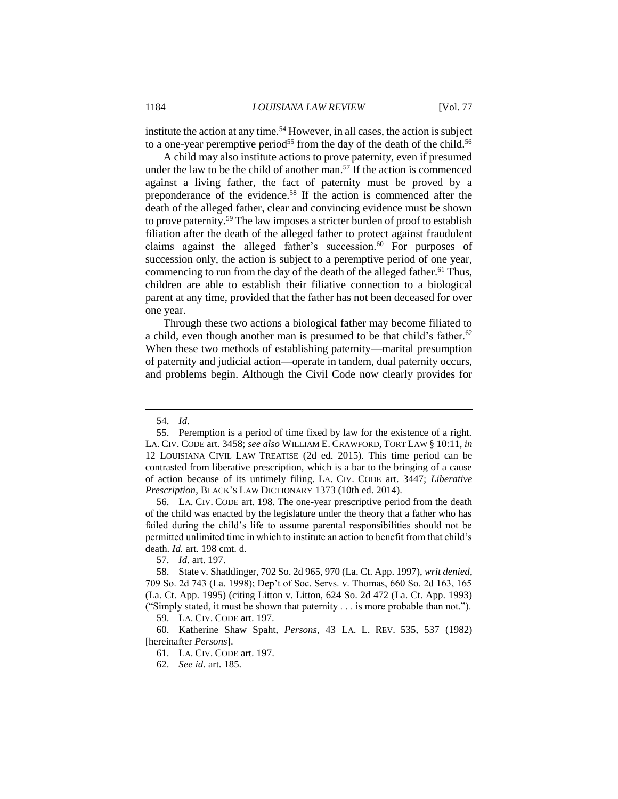institute the action at any time.<sup>54</sup> However, in all cases, the action is subject to a one-year peremptive period<sup>55</sup> from the day of the death of the child.<sup>56</sup>

A child may also institute actions to prove paternity, even if presumed under the law to be the child of another man.<sup>57</sup> If the action is commenced against a living father, the fact of paternity must be proved by a preponderance of the evidence.<sup>58</sup> If the action is commenced after the death of the alleged father, clear and convincing evidence must be shown to prove paternity.<sup>59</sup> The law imposes a stricter burden of proof to establish filiation after the death of the alleged father to protect against fraudulent claims against the alleged father's succession.<sup>60</sup> For purposes of succession only, the action is subject to a peremptive period of one year, commencing to run from the day of the death of the alleged father.<sup>61</sup> Thus, children are able to establish their filiative connection to a biological parent at any time, provided that the father has not been deceased for over one year.

Through these two actions a biological father may become filiated to a child, even though another man is presumed to be that child's father.<sup>62</sup> When these two methods of establishing paternity—marital presumption of paternity and judicial action—operate in tandem, dual paternity occurs, and problems begin. Although the Civil Code now clearly provides for

 $\overline{a}$ 

56. LA. CIV. CODE art. 198. The one-year prescriptive period from the death of the child was enacted by the legislature under the theory that a father who has failed during the child's life to assume parental responsibilities should not be permitted unlimited time in which to institute an action to benefit from that child's death. *Id.* art. 198 cmt. d.

57. *Id*. art. 197.

59. LA. CIV. CODE art. 197.

<sup>54.</sup> *Id.*

<sup>55.</sup> Peremption is a period of time fixed by law for the existence of a right. LA. CIV. CODE art. 3458; *see also* WILLIAM E. CRAWFORD, TORT LAW § 10:11, *in* 12 LOUISIANA CIVIL LAW TREATISE (2d ed. 2015). This time period can be contrasted from liberative prescription, which is a bar to the bringing of a cause of action because of its untimely filing. LA. CIV. CODE art. 3447; *Liberative Prescription*, BLACK'S LAW DICTIONARY 1373 (10th ed. 2014).

<sup>58.</sup> State v. Shaddinger, 702 So. 2d 965, 970 (La. Ct. App. 1997), *writ denied*, 709 So. 2d 743 (La. 1998); Dep't of Soc. Servs. v. Thomas, 660 So. 2d 163, 165 (La. Ct. App. 1995) (citing Litton v. Litton, 624 So. 2d 472 (La. Ct. App. 1993) ("Simply stated, it must be shown that paternity . . . is more probable than not.").

<sup>60.</sup> Katherine Shaw Spaht, *Persons*, 43 LA. L. REV. 535, 537 (1982) [hereinafter *Persons*].

<sup>61.</sup> LA. CIV. CODE art. 197.

<sup>62.</sup> *See id.* art. 185.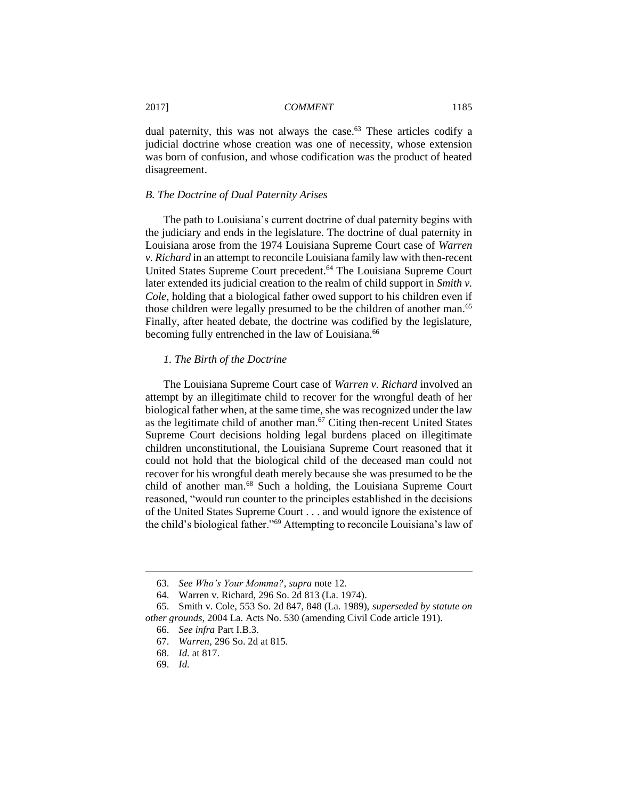dual paternity, this was not always the case.<sup>63</sup> These articles codify a judicial doctrine whose creation was one of necessity, whose extension was born of confusion, and whose codification was the product of heated disagreement.

## *B. The Doctrine of Dual Paternity Arises*

The path to Louisiana's current doctrine of dual paternity begins with the judiciary and ends in the legislature. The doctrine of dual paternity in Louisiana arose from the 1974 Louisiana Supreme Court case of *Warren v. Richard* in an attempt to reconcile Louisiana family law with then-recent United States Supreme Court precedent.<sup>64</sup> The Louisiana Supreme Court later extended its judicial creation to the realm of child support in *Smith v. Cole*, holding that a biological father owed support to his children even if those children were legally presumed to be the children of another man.<sup>65</sup> Finally, after heated debate, the doctrine was codified by the legislature, becoming fully entrenched in the law of Louisiana.<sup>66</sup>

## *1. The Birth of the Doctrine*

The Louisiana Supreme Court case of *Warren v. Richard* involved an attempt by an illegitimate child to recover for the wrongful death of her biological father when, at the same time, she was recognized under the law as the legitimate child of another man.<sup>67</sup> Citing then-recent United States Supreme Court decisions holding legal burdens placed on illegitimate children unconstitutional, the Louisiana Supreme Court reasoned that it could not hold that the biological child of the deceased man could not recover for his wrongful death merely because she was presumed to be the child of another man.<sup>68</sup> Such a holding, the Louisiana Supreme Court reasoned, "would run counter to the principles established in the decisions of the United States Supreme Court . . . and would ignore the existence of the child's biological father."<sup>69</sup> Attempting to reconcile Louisiana's law of

69. *Id.*

<sup>63.</sup> *See Who's Your Momma?*, *supra* note 12.

<sup>64.</sup> Warren v. Richard, 296 So. 2d 813 (La. 1974).

<sup>65.</sup> Smith v. Cole, 553 So. 2d 847, 848 (La. 1989), *superseded by statute on other grounds*, 2004 La. Acts No. 530 (amending Civil Code article 191).

<sup>66.</sup> *See infra* Part I.B.3.

<sup>67.</sup> *Warren*, 296 So. 2d at 815.

<sup>68.</sup> *Id.* at 817.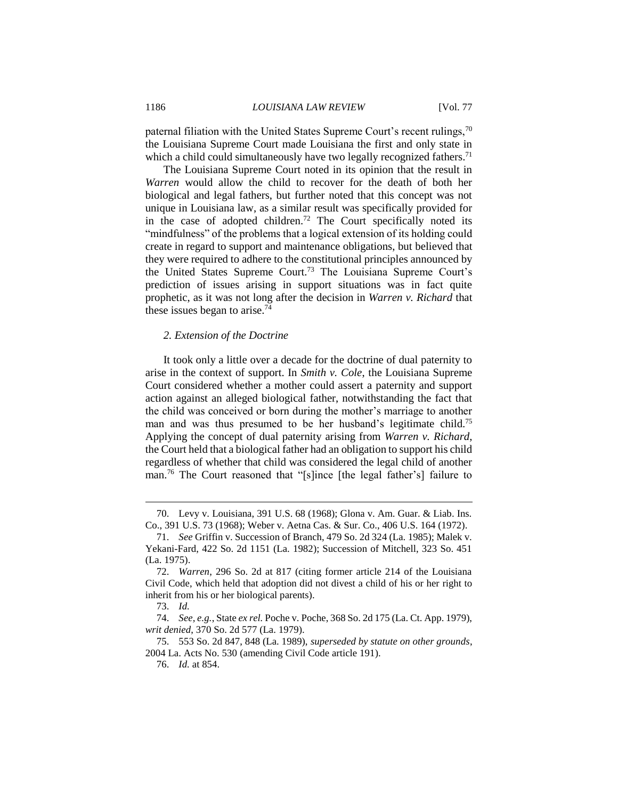paternal filiation with the United States Supreme Court's recent rulings,  $70$ the Louisiana Supreme Court made Louisiana the first and only state in which a child could simultaneously have two legally recognized fathers.<sup>71</sup>

The Louisiana Supreme Court noted in its opinion that the result in *Warren* would allow the child to recover for the death of both her biological and legal fathers, but further noted that this concept was not unique in Louisiana law, as a similar result was specifically provided for in the case of adopted children.<sup>72</sup> The Court specifically noted its "mindfulness" of the problems that a logical extension of its holding could create in regard to support and maintenance obligations, but believed that they were required to adhere to the constitutional principles announced by the United States Supreme Court.<sup>73</sup> The Louisiana Supreme Court's prediction of issues arising in support situations was in fact quite prophetic, as it was not long after the decision in *Warren v. Richard* that these issues began to arise. $74$ 

#### *2. Extension of the Doctrine*

It took only a little over a decade for the doctrine of dual paternity to arise in the context of support. In *Smith v. Cole*, the Louisiana Supreme Court considered whether a mother could assert a paternity and support action against an alleged biological father, notwithstanding the fact that the child was conceived or born during the mother's marriage to another man and was thus presumed to be her husband's legitimate child.<sup>75</sup> Applying the concept of dual paternity arising from *Warren v. Richard*, the Court held that a biological father had an obligation to support his child regardless of whether that child was considered the legal child of another man.<sup>76</sup> The Court reasoned that "[s]ince [the legal father's] failure to

<sup>70.</sup> Levy v. Louisiana, 391 U.S. 68 (1968); Glona v. Am. Guar. & Liab. Ins. Co., 391 U.S. 73 (1968); Weber v. Aetna Cas. & Sur. Co., 406 U.S. 164 (1972).

<sup>71.</sup> *See* Griffin v. Succession of Branch, 479 So. 2d 324 (La. 1985); Malek v. Yekani-Fard, 422 So. 2d 1151 (La. 1982); Succession of Mitchell, 323 So. 451 (La. 1975).

<sup>72.</sup> *Warren*, 296 So. 2d at 817 (citing former article 214 of the Louisiana Civil Code, which held that adoption did not divest a child of his or her right to inherit from his or her biological parents).

<sup>73.</sup> *Id.*

<sup>74.</sup> *See, e.g.*, State *ex rel.* Poche v. Poche, 368 So. 2d 175 (La. Ct. App. 1979), *writ denied*, 370 So. 2d 577 (La. 1979).

<sup>75.</sup> 553 So. 2d 847, 848 (La. 1989), *superseded by statute on other grounds*, 2004 La. Acts No. 530 (amending Civil Code article 191).

<sup>76.</sup> *Id.* at 854.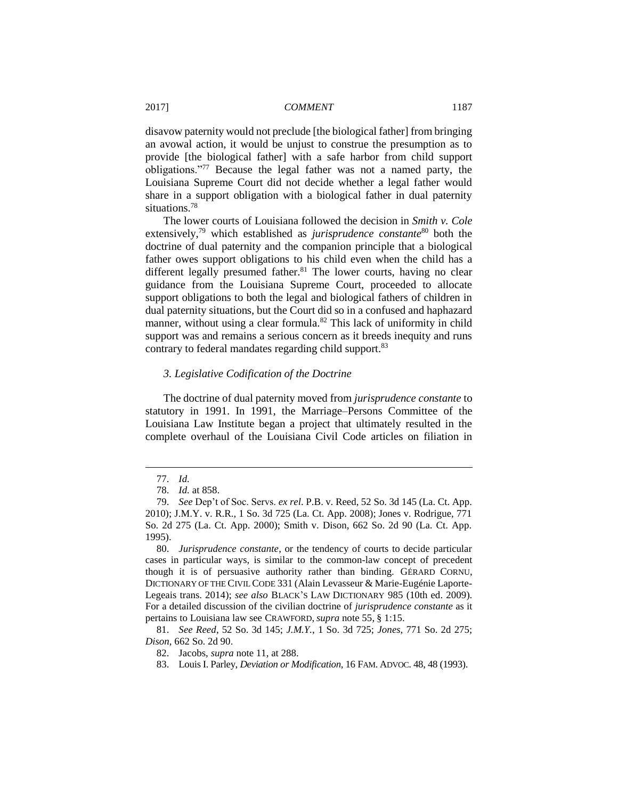disavow paternity would not preclude [the biological father] from bringing an avowal action, it would be unjust to construe the presumption as to provide [the biological father] with a safe harbor from child support obligations."<sup>77</sup> Because the legal father was not a named party, the Louisiana Supreme Court did not decide whether a legal father would share in a support obligation with a biological father in dual paternity situations.<sup>78</sup>

The lower courts of Louisiana followed the decision in *Smith v. Cole* extensively,<sup>79</sup> which established as *jurisprudence constante*<sup>80</sup> both the doctrine of dual paternity and the companion principle that a biological father owes support obligations to his child even when the child has a different legally presumed father. $81$  The lower courts, having no clear guidance from the Louisiana Supreme Court, proceeded to allocate support obligations to both the legal and biological fathers of children in dual paternity situations, but the Court did so in a confused and haphazard manner, without using a clear formula.<sup>82</sup> This lack of uniformity in child support was and remains a serious concern as it breeds inequity and runs contrary to federal mandates regarding child support.<sup>83</sup>

#### *3. Legislative Codification of the Doctrine*

The doctrine of dual paternity moved from *jurisprudence constante* to statutory in 1991. In 1991, the Marriage–Persons Committee of the Louisiana Law Institute began a project that ultimately resulted in the complete overhaul of the Louisiana Civil Code articles on filiation in

<sup>77.</sup> *Id.*

<sup>78.</sup> *Id.* at 858.

<sup>79.</sup> *See* Dep't of Soc. Servs. *ex rel*. P.B. v. Reed, 52 So. 3d 145 (La. Ct. App. 2010); J.M.Y. v. R.R., 1 So. 3d 725 (La. Ct. App. 2008); Jones v. Rodrigue, 771 So. 2d 275 (La. Ct. App. 2000); Smith v. Dison, 662 So. 2d 90 (La. Ct. App. 1995).

<sup>80.</sup> *Jurisprudence constante*, or the tendency of courts to decide particular cases in particular ways, is similar to the common-law concept of precedent though it is of persuasive authority rather than binding. GÉRARD CORNU, DICTIONARY OF THE CIVIL CODE 331 (Alain Levasseur & Marie-Eugénie Laporte-Legeais trans. 2014); *see also* BLACK'S LAW DICTIONARY 985 (10th ed. 2009). For a detailed discussion of the civilian doctrine of *jurisprudence constante* as it pertains to Louisiana law see CRAWFORD, *supra* note 55, § 1:15.

<sup>81.</sup> *See Reed*, 52 So. 3d 145; *J.M.Y.*, 1 So. 3d 725; *Jones*, 771 So. 2d 275; *Dison*, 662 So. 2d 90.

<sup>82.</sup> Jacobs, *supra* note 11, at 288.

<sup>83.</sup> Louis I. Parley, *Deviation or Modification*, 16 FAM. ADVOC. 48, 48 (1993).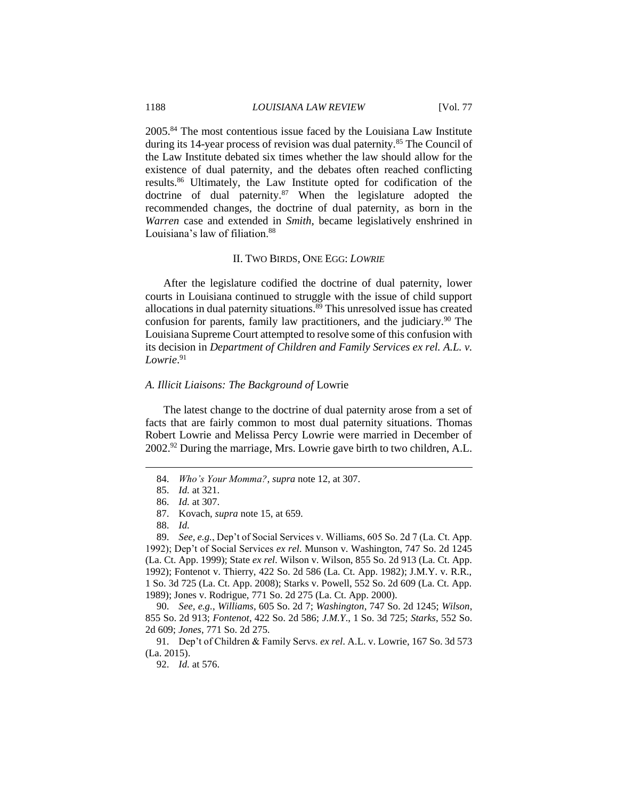2005.<sup>84</sup> The most contentious issue faced by the Louisiana Law Institute during its 14-year process of revision was dual paternity.<sup>85</sup> The Council of the Law Institute debated six times whether the law should allow for the existence of dual paternity, and the debates often reached conflicting results.<sup>86</sup> Ultimately, the Law Institute opted for codification of the doctrine of dual paternity.<sup>87</sup> When the legislature adopted the recommended changes, the doctrine of dual paternity, as born in the *Warren* case and extended in *Smith*, became legislatively enshrined in Louisiana's law of filiation.<sup>88</sup>

#### II. TWO BIRDS, ONE EGG: *LOWRIE*

After the legislature codified the doctrine of dual paternity, lower courts in Louisiana continued to struggle with the issue of child support allocations in dual paternity situations.<sup>89</sup> This unresolved issue has created confusion for parents, family law practitioners, and the judiciary.<sup>90</sup> The Louisiana Supreme Court attempted to resolve some of this confusion with its decision in *Department of Children and Family Services ex rel. A.L. v. Lowrie*. 91

#### *A. Illicit Liaisons: The Background of* Lowrie

The latest change to the doctrine of dual paternity arose from a set of facts that are fairly common to most dual paternity situations. Thomas Robert Lowrie and Melissa Percy Lowrie were married in December of 2002.<sup>92</sup> During the marriage, Mrs. Lowrie gave birth to two children, A.L.

 $\overline{a}$ 

89. *See, e.g.*, Dep't of Social Services v. Williams, 605 So. 2d 7 (La. Ct. App. 1992); Dep't of Social Services *ex rel*. Munson v. Washington, 747 So. 2d 1245 (La. Ct. App. 1999); State *ex rel*. Wilson v. Wilson, 855 So. 2d 913 (La. Ct. App. 1992); Fontenot v. Thierry, 422 So. 2d 586 (La. Ct. App. 1982); J.M.Y. v. R.R., 1 So. 3d 725 (La. Ct. App. 2008); Starks v. Powell, 552 So. 2d 609 (La. Ct. App. 1989); Jones v. Rodrigue, 771 So. 2d 275 (La. Ct. App. 2000).

90. *See, e.g.*, *Williams*, 605 So. 2d 7; *Washington*, 747 So. 2d 1245; *Wilson*, 855 So. 2d 913; *Fontenot*, 422 So. 2d 586; *J.M.Y*., 1 So. 3d 725; *Starks*, 552 So. 2d 609; *Jones*, 771 So. 2d 275.

91. Dep't of Children & Family Servs. *ex rel*. A.L. v. Lowrie, 167 So. 3d 573 (La. 2015).

<sup>84.</sup> *Who's Your Momma?*, *supra* note 12, at 307.

<sup>85.</sup> *Id.* at 321.

<sup>86.</sup> *Id.* at 307.

<sup>87.</sup> Kovach, *supra* note 15, at 659.

<sup>88.</sup> *Id.*

<sup>92.</sup> *Id.* at 576.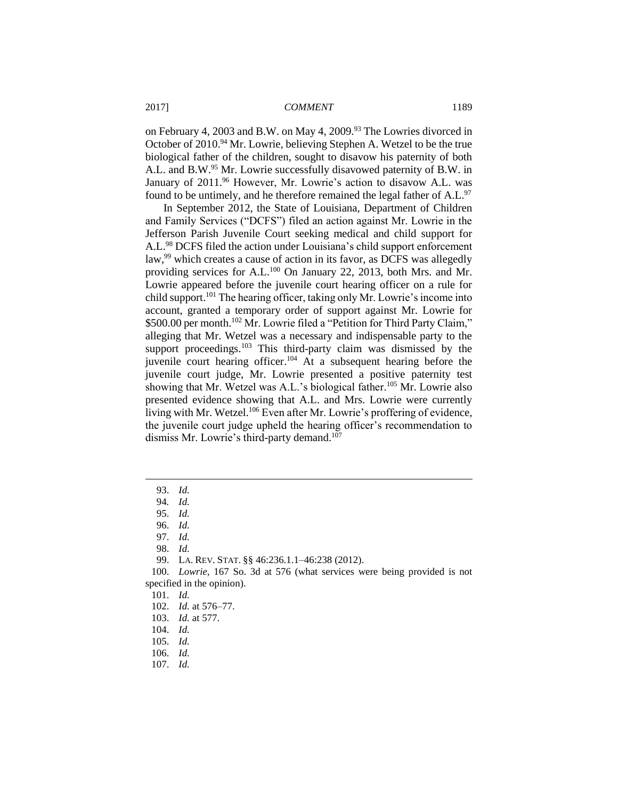on February 4, 2003 and B.W. on May 4, 2009.<sup>93</sup> The Lowries divorced in October of 2010.<sup>94</sup> Mr. Lowrie, believing Stephen A. Wetzel to be the true biological father of the children, sought to disavow his paternity of both A.L. and B.W.<sup>95</sup> Mr. Lowrie successfully disavowed paternity of B.W. in January of 2011.<sup>96</sup> However, Mr. Lowrie's action to disavow A.L. was found to be untimely, and he therefore remained the legal father of A.L.<sup>97</sup>

In September 2012, the State of Louisiana, Department of Children and Family Services ("DCFS") filed an action against Mr. Lowrie in the Jefferson Parish Juvenile Court seeking medical and child support for A.L.<sup>98</sup> DCFS filed the action under Louisiana's child support enforcement law,<sup>99</sup> which creates a cause of action in its favor, as DCFS was allegedly providing services for A.L.<sup>100</sup> On January 22, 2013, both Mrs. and Mr. Lowrie appeared before the juvenile court hearing officer on a rule for child support.<sup>101</sup> The hearing officer, taking only Mr. Lowrie's income into account, granted a temporary order of support against Mr. Lowrie for \$500.00 per month.<sup>102</sup> Mr. Lowrie filed a "Petition for Third Party Claim," alleging that Mr. Wetzel was a necessary and indispensable party to the support proceedings.<sup>103</sup> This third-party claim was dismissed by the juvenile court hearing officer.<sup>104</sup> At a subsequent hearing before the juvenile court judge, Mr. Lowrie presented a positive paternity test showing that Mr. Wetzel was A.L.'s biological father.<sup>105</sup> Mr. Lowrie also presented evidence showing that A.L. and Mrs. Lowrie were currently living with Mr. Wetzel.<sup>106</sup> Even after Mr. Lowrie's proffering of evidence, the juvenile court judge upheld the hearing officer's recommendation to dismiss Mr. Lowrie's third-party demand.<sup>107</sup>

 $\overline{a}$ 

97. *Id.*

98. *Id.*

99. LA. REV. STAT. §§ 46:236.1.1–46:238 (2012).

106. *Id.*

<sup>93.</sup> *Id.*

<sup>94</sup>*. Id.*

<sup>95.</sup> *Id.*

<sup>96.</sup> *Id.*

<sup>100.</sup> *Lowrie*, 167 So. 3d at 576 (what services were being provided is not specified in the opinion).

<sup>101.</sup> *Id.*

<sup>102.</sup> *Id.* at 576–77.

<sup>103.</sup> *Id.* at 577.

<sup>104.</sup> *Id.*

<sup>105.</sup> *Id.*

<sup>107.</sup> *Id.*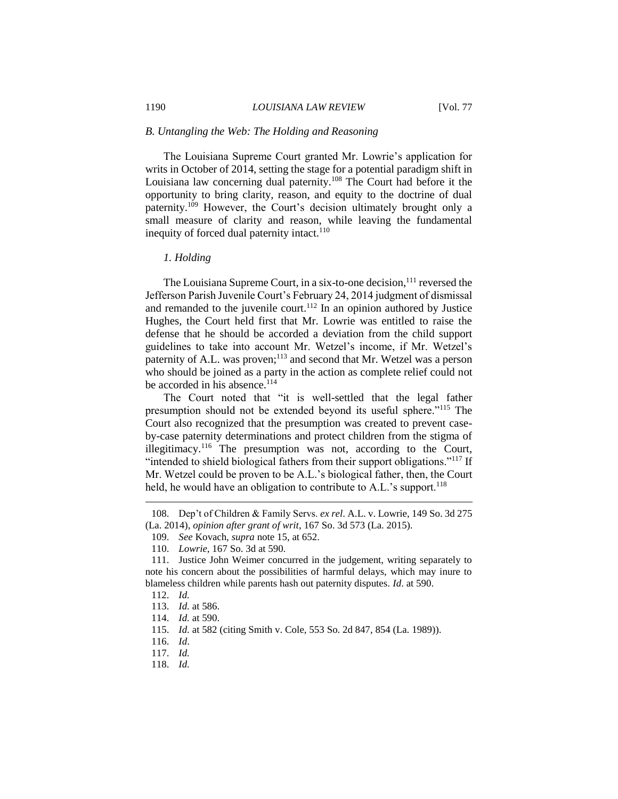#### *B. Untangling the Web: The Holding and Reasoning*

The Louisiana Supreme Court granted Mr. Lowrie's application for writs in October of 2014, setting the stage for a potential paradigm shift in Louisiana law concerning dual paternity.<sup>108</sup> The Court had before it the opportunity to bring clarity, reason, and equity to the doctrine of dual paternity.<sup>109</sup> However, the Court's decision ultimately brought only a small measure of clarity and reason, while leaving the fundamental inequity of forced dual paternity intact.<sup>110</sup>

#### *1. Holding*

The Louisiana Supreme Court, in a six-to-one decision,<sup>111</sup> reversed the Jefferson Parish Juvenile Court's February 24, 2014 judgment of dismissal and remanded to the juvenile court.<sup>112</sup> In an opinion authored by Justice Hughes, the Court held first that Mr. Lowrie was entitled to raise the defense that he should be accorded a deviation from the child support guidelines to take into account Mr. Wetzel's income, if Mr. Wetzel's paternity of A.L. was proven;<sup>113</sup> and second that Mr. Wetzel was a person who should be joined as a party in the action as complete relief could not be accorded in his absence.<sup>114</sup>

The Court noted that "it is well-settled that the legal father presumption should not be extended beyond its useful sphere."<sup>115</sup> The Court also recognized that the presumption was created to prevent caseby-case paternity determinations and protect children from the stigma of illegitimacy.<sup>116</sup> The presumption was not, according to the Court, "intended to shield biological fathers from their support obligations."<sup>117</sup> If Mr. Wetzel could be proven to be A.L.'s biological father, then, the Court held, he would have an obligation to contribute to A.L.'s support.<sup>118</sup>

 $\overline{a}$ 

118. *Id.*

<sup>108.</sup> Dep't of Children & Family Servs. *ex rel*. A.L. v. Lowrie, 149 So. 3d 275 (La. 2014), *opinion after grant of writ*, 167 So. 3d 573 (La. 2015).

<sup>109.</sup> *See* Kovach, *supra* note 15, at 652.

<sup>110.</sup> *Lowrie*, 167 So. 3d at 590.

<sup>111.</sup> Justice John Weimer concurred in the judgement, writing separately to note his concern about the possibilities of harmful delays, which may inure to blameless children while parents hash out paternity disputes. *Id*. at 590.

<sup>112.</sup> *Id.*

<sup>113.</sup> *Id.* at 586.

<sup>114.</sup> *Id.* at 590.

<sup>115.</sup> *Id.* at 582 (citing Smith v. Cole, 553 So. 2d 847, 854 (La. 1989)).

<sup>116.</sup> *Id*.

<sup>117.</sup> *Id.*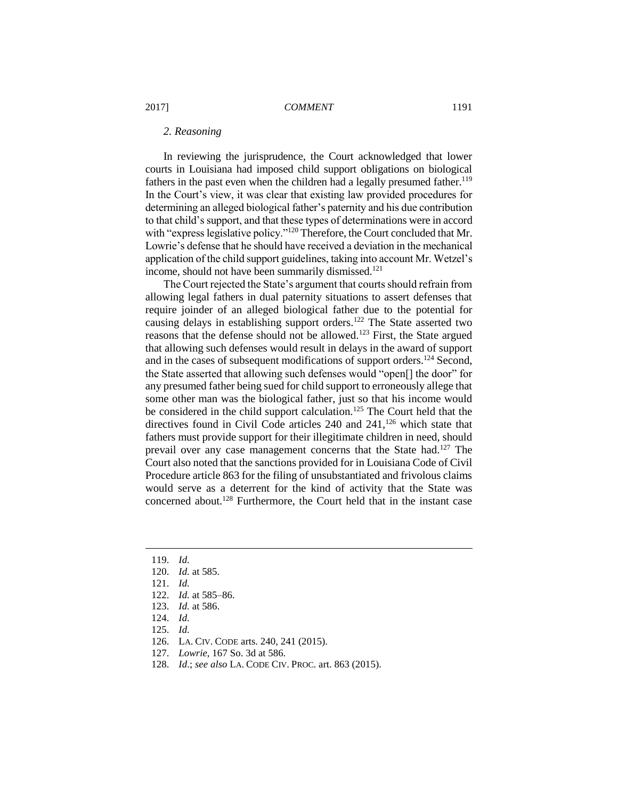#### *2. Reasoning*

In reviewing the jurisprudence, the Court acknowledged that lower courts in Louisiana had imposed child support obligations on biological fathers in the past even when the children had a legally presumed father.<sup>119</sup> In the Court's view, it was clear that existing law provided procedures for determining an alleged biological father's paternity and his due contribution to that child's support, and that these types of determinations were in accord with "express legislative policy."<sup>120</sup> Therefore, the Court concluded that Mr. Lowrie's defense that he should have received a deviation in the mechanical application of the child support guidelines, taking into account Mr. Wetzel's income, should not have been summarily dismissed.<sup>121</sup>

The Court rejected the State's argument that courts should refrain from allowing legal fathers in dual paternity situations to assert defenses that require joinder of an alleged biological father due to the potential for causing delays in establishing support orders.<sup>122</sup> The State asserted two reasons that the defense should not be allowed.<sup>123</sup> First, the State argued that allowing such defenses would result in delays in the award of support and in the cases of subsequent modifications of support orders.<sup>124</sup> Second, the State asserted that allowing such defenses would "open[] the door" for any presumed father being sued for child support to erroneously allege that some other man was the biological father, just so that his income would be considered in the child support calculation.<sup>125</sup> The Court held that the directives found in Civil Code articles  $240$  and  $241$ ,  $126$  which state that fathers must provide support for their illegitimate children in need, should prevail over any case management concerns that the State had.<sup>127</sup> The Court also noted that the sanctions provided for in Louisiana Code of Civil Procedure article 863 for the filing of unsubstantiated and frivolous claims would serve as a deterrent for the kind of activity that the State was concerned about.<sup>128</sup> Furthermore, the Court held that in the instant case

119. *Id.*

- 120. *Id.* at 585.
- 121. *Id.*
- 122. *Id.* at 585–86.
- 123. *Id.* at 586.
- 124. *Id.*
- 125. *Id.*
- 126. LA. CIV. CODE arts. 240, 241 (2015).
- 127. *Lowrie*, 167 So. 3d at 586.
- 128. *Id*.; *see also* LA. CODE CIV. PROC. art. 863 (2015).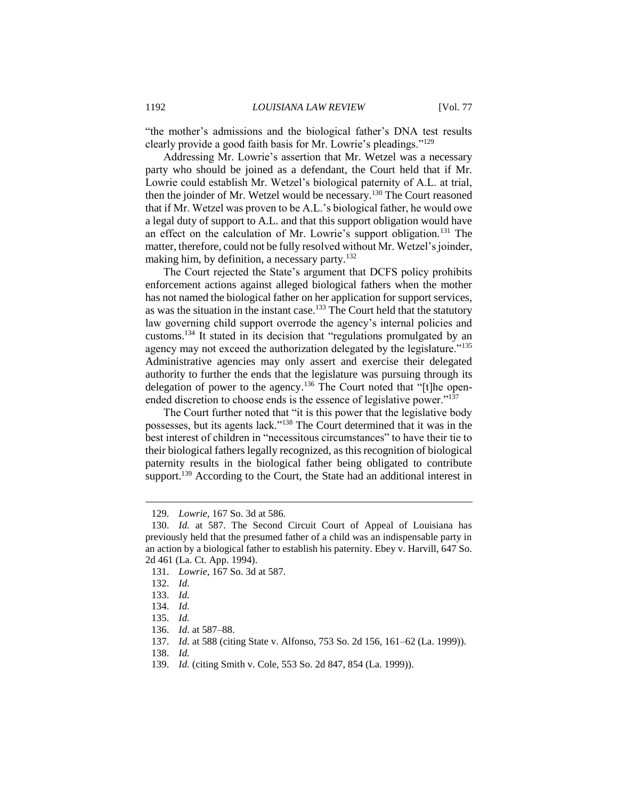"the mother's admissions and the biological father's DNA test results clearly provide a good faith basis for Mr. Lowrie's pleadings."<sup>129</sup>

Addressing Mr. Lowrie's assertion that Mr. Wetzel was a necessary party who should be joined as a defendant, the Court held that if Mr. Lowrie could establish Mr. Wetzel's biological paternity of A.L. at trial, then the joinder of Mr. Wetzel would be necessary.<sup>130</sup> The Court reasoned that if Mr. Wetzel was proven to be A.L.'s biological father, he would owe a legal duty of support to A.L. and that this support obligation would have an effect on the calculation of Mr. Lowrie's support obligation.<sup>131</sup> The matter, therefore, could not be fully resolved without Mr. Wetzel's joinder, making him, by definition, a necessary party. $132$ 

The Court rejected the State's argument that DCFS policy prohibits enforcement actions against alleged biological fathers when the mother has not named the biological father on her application for support services, as was the situation in the instant case.<sup>133</sup> The Court held that the statutory law governing child support overrode the agency's internal policies and customs.<sup>134</sup> It stated in its decision that "regulations promulgated by an agency may not exceed the authorization delegated by the legislature."<sup>135</sup> Administrative agencies may only assert and exercise their delegated authority to further the ends that the legislature was pursuing through its delegation of power to the agency.<sup>136</sup> The Court noted that "[t]he openended discretion to choose ends is the essence of legislative power."<sup>137</sup>

The Court further noted that "it is this power that the legislative body possesses, but its agents lack."<sup>138</sup> The Court determined that it was in the best interest of children in "necessitous circumstances" to have their tie to their biological fathers legally recognized, as this recognition of biological paternity results in the biological father being obligated to contribute support.<sup>139</sup> According to the Court, the State had an additional interest in

<sup>129.</sup> *Lowrie*, 167 So. 3d at 586.

<sup>130.</sup> *Id.* at 587. The Second Circuit Court of Appeal of Louisiana has previously held that the presumed father of a child was an indispensable party in an action by a biological father to establish his paternity. Ebey v. Harvill, 647 So. 2d 461 (La. Ct. App. 1994).

<sup>131.</sup> *Lowrie*, 167 So. 3d at 587.

<sup>132.</sup> *Id.*

<sup>133.</sup> *Id.*

<sup>134.</sup> *Id.*

<sup>135.</sup> *Id.*

<sup>136.</sup> *Id.* at 587–88.

<sup>137.</sup> *Id.* at 588 (citing State v. Alfonso, 753 So. 2d 156, 161–62 (La. 1999)).

<sup>138.</sup> *Id.*

<sup>139.</sup> *Id.* (citing Smith v. Cole, 553 So. 2d 847, 854 (La. 1999)).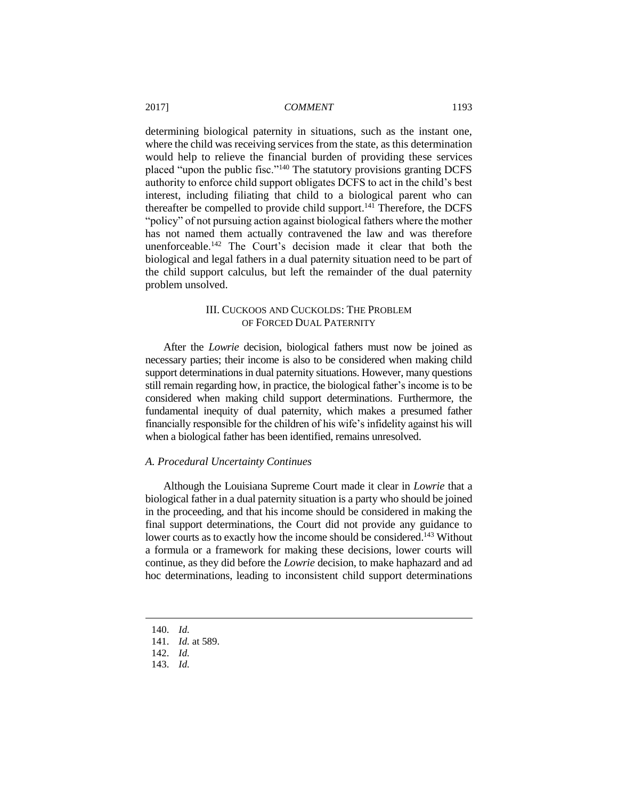determining biological paternity in situations, such as the instant one, where the child was receiving services from the state, as this determination would help to relieve the financial burden of providing these services placed "upon the public fisc."<sup>140</sup> The statutory provisions granting DCFS authority to enforce child support obligates DCFS to act in the child's best interest, including filiating that child to a biological parent who can thereafter be compelled to provide child support. $141$  Therefore, the DCFS "policy" of not pursuing action against biological fathers where the mother has not named them actually contravened the law and was therefore unenforceable.<sup>142</sup> The Court's decision made it clear that both the biological and legal fathers in a dual paternity situation need to be part of the child support calculus, but left the remainder of the dual paternity problem unsolved.

## III. CUCKOOS AND CUCKOLDS: THE PROBLEM OF FORCED DUAL PATERNITY

After the *Lowrie* decision, biological fathers must now be joined as necessary parties; their income is also to be considered when making child support determinations in dual paternity situations. However, many questions still remain regarding how, in practice, the biological father's income is to be considered when making child support determinations. Furthermore, the fundamental inequity of dual paternity, which makes a presumed father financially responsible for the children of his wife's infidelity against his will when a biological father has been identified, remains unresolved.

## *A. Procedural Uncertainty Continues*

Although the Louisiana Supreme Court made it clear in *Lowrie* that a biological father in a dual paternity situation is a party who should be joined in the proceeding, and that his income should be considered in making the final support determinations, the Court did not provide any guidance to lower courts as to exactly how the income should be considered.<sup>143</sup> Without a formula or a framework for making these decisions, lower courts will continue, as they did before the *Lowrie* decision, to make haphazard and ad hoc determinations, leading to inconsistent child support determinations

140. *Id.* 

- 141. *Id.* at 589.
- 142. *Id.*
- 143. *Id.*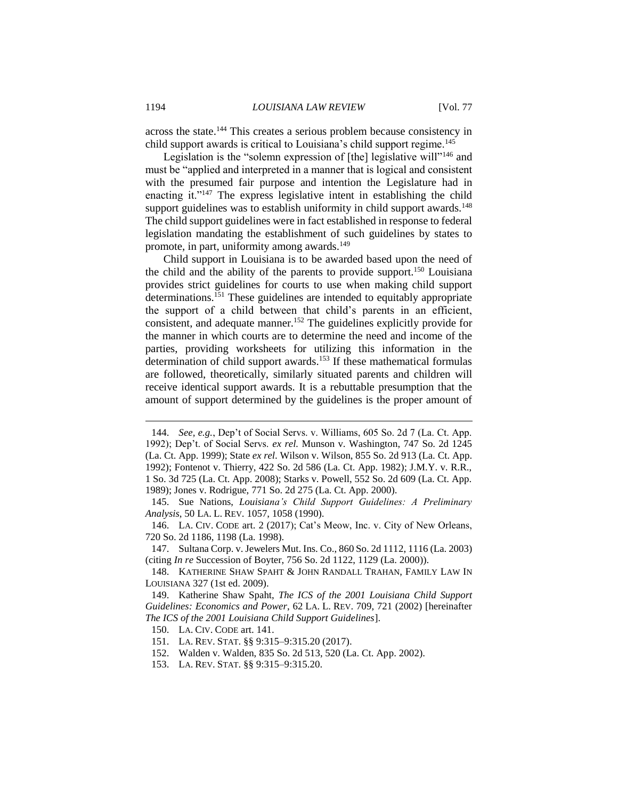across the state.<sup>144</sup> This creates a serious problem because consistency in child support awards is critical to Louisiana's child support regime.<sup>145</sup>

Legislation is the "solemn expression of [the] legislative will"<sup>146</sup> and must be "applied and interpreted in a manner that is logical and consistent with the presumed fair purpose and intention the Legislature had in enacting it."<sup>147</sup> The express legislative intent in establishing the child support guidelines was to establish uniformity in child support awards.<sup>148</sup> The child support guidelines were in fact established in response to federal legislation mandating the establishment of such guidelines by states to promote, in part, uniformity among awards.<sup>149</sup>

Child support in Louisiana is to be awarded based upon the need of the child and the ability of the parents to provide support.<sup>150</sup> Louisiana provides strict guidelines for courts to use when making child support determinations.<sup>151</sup> These guidelines are intended to equitably appropriate the support of a child between that child's parents in an efficient, consistent, and adequate manner.<sup>152</sup> The guidelines explicitly provide for the manner in which courts are to determine the need and income of the parties, providing worksheets for utilizing this information in the determination of child support awards.<sup>153</sup> If these mathematical formulas are followed, theoretically, similarly situated parents and children will receive identical support awards. It is a rebuttable presumption that the amount of support determined by the guidelines is the proper amount of

- 151. LA. REV. STAT. §§ 9:315–9:315.20 (2017).
- 152. Walden v. Walden, 835 So. 2d 513, 520 (La. Ct. App. 2002).
- 153. LA. REV. STAT. §§ 9:315–9:315.20.

<sup>144.</sup> *See, e.g.*, Dep't of Social Servs. v. Williams, 605 So. 2d 7 (La. Ct. App. 1992); Dep't. of Social Servs. *ex rel.* Munson v. Washington, 747 So. 2d 1245 (La. Ct. App. 1999); State *ex rel*. Wilson v. Wilson, 855 So. 2d 913 (La. Ct. App. 1992); Fontenot v. Thierry, 422 So. 2d 586 (La. Ct. App. 1982); J.M.Y. v. R.R., 1 So. 3d 725 (La. Ct. App. 2008); Starks v. Powell, 552 So. 2d 609 (La. Ct. App. 1989); Jones v. Rodrigue, 771 So. 2d 275 (La. Ct. App. 2000).

<sup>145.</sup> Sue Nations, *Louisiana's Child Support Guidelines: A Preliminary Analysis*, 50 LA. L. REV. 1057, 1058 (1990).

<sup>146.</sup> LA. CIV. CODE art. 2 (2017); Cat's Meow, Inc. v. City of New Orleans, 720 So. 2d 1186, 1198 (La. 1998).

<sup>147.</sup> Sultana Corp. v. Jewelers Mut. Ins. Co., 860 So. 2d 1112, 1116 (La. 2003) (citing *In re* Succession of Boyter, 756 So. 2d 1122, 1129 (La. 2000)).

<sup>148.</sup> KATHERINE SHAW SPAHT & JOHN RANDALL TRAHAN, FAMILY LAW IN LOUISIANA 327 (1st ed. 2009).

<sup>149.</sup> Katherine Shaw Spaht, *The ICS of the 2001 Louisiana Child Support Guidelines: Economics and Power*, 62 LA. L. REV. 709, 721 (2002) [hereinafter *The ICS of the 2001 Louisiana Child Support Guidelines*].

<sup>150.</sup> LA. CIV. CODE art. 141.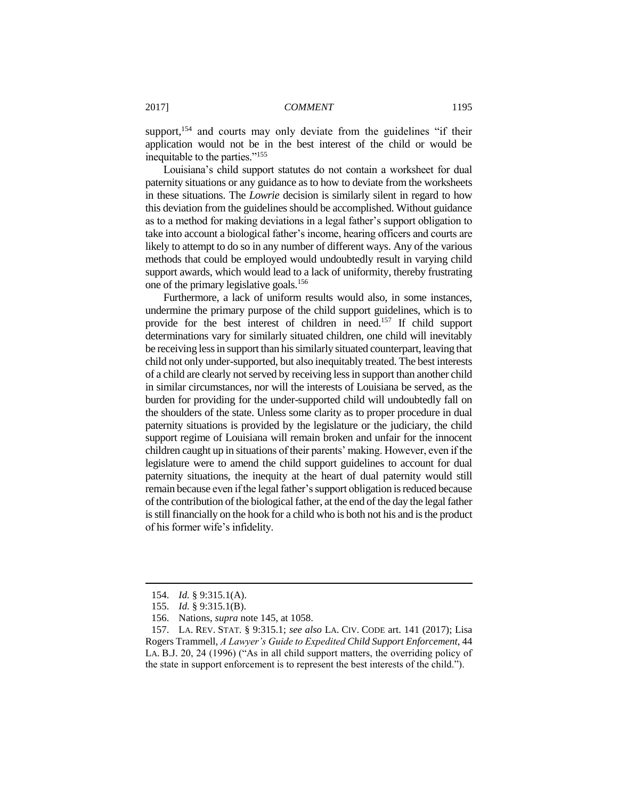support,<sup>154</sup> and courts may only deviate from the guidelines "if their application would not be in the best interest of the child or would be inequitable to the parties."<sup>155</sup>

Louisiana's child support statutes do not contain a worksheet for dual paternity situations or any guidance as to how to deviate from the worksheets in these situations. The *Lowrie* decision is similarly silent in regard to how this deviation from the guidelines should be accomplished. Without guidance as to a method for making deviations in a legal father's support obligation to take into account a biological father's income, hearing officers and courts are likely to attempt to do so in any number of different ways. Any of the various methods that could be employed would undoubtedly result in varying child support awards, which would lead to a lack of uniformity, thereby frustrating one of the primary legislative goals.<sup>156</sup>

Furthermore, a lack of uniform results would also, in some instances, undermine the primary purpose of the child support guidelines, which is to provide for the best interest of children in need.<sup>157</sup> If child support determinations vary for similarly situated children, one child will inevitably be receiving less in support than his similarly situated counterpart, leaving that child not only under-supported, but also inequitably treated. The best interests of a child are clearly not served by receiving less in support than another child in similar circumstances, nor will the interests of Louisiana be served, as the burden for providing for the under-supported child will undoubtedly fall on the shoulders of the state. Unless some clarity as to proper procedure in dual paternity situations is provided by the legislature or the judiciary, the child support regime of Louisiana will remain broken and unfair for the innocent children caught up in situations of their parents' making. However, even if the legislature were to amend the child support guidelines to account for dual paternity situations, the inequity at the heart of dual paternity would still remain because even if the legal father's support obligation is reduced because of the contribution of the biological father, at the end of the day the legal father is still financially on the hook for a child who is both not his and is the product of his former wife's infidelity.

<sup>154.</sup> *Id.* § 9:315.1(A).

<sup>155.</sup> *Id.* § 9:315.1(B).

<sup>156.</sup> Nations, *supra* note 145, at 1058.

<sup>157.</sup> LA. REV. STAT. § 9:315.1; *see also* LA. CIV. CODE art. 141 (2017); Lisa Rogers Trammell, *A Lawyer's Guide to Expedited Child Support Enforcement*, 44 LA. B.J. 20, 24 (1996) ("As in all child support matters, the overriding policy of the state in support enforcement is to represent the best interests of the child.").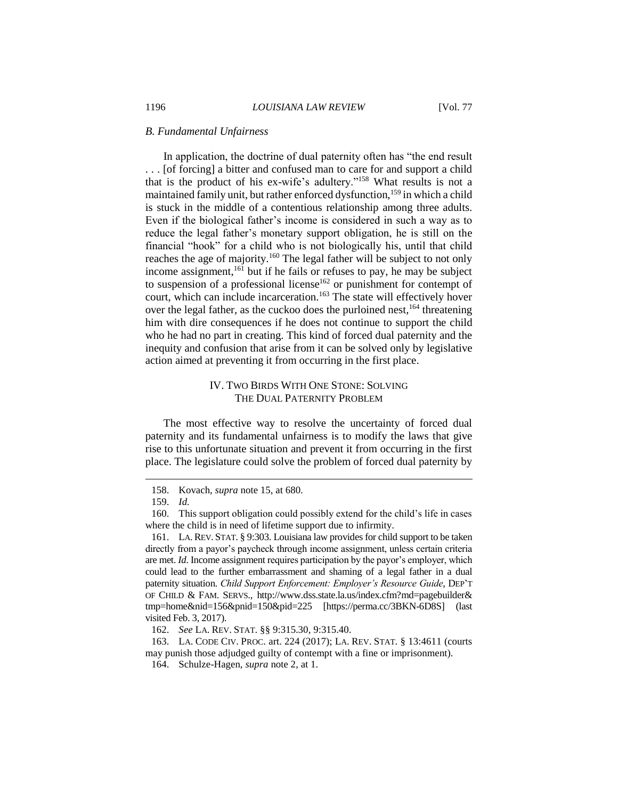#### *B. Fundamental Unfairness*

In application, the doctrine of dual paternity often has "the end result . . . [of forcing] a bitter and confused man to care for and support a child that is the product of his ex-wife's adultery."<sup>158</sup> What results is not a maintained family unit, but rather enforced dysfunction,<sup>159</sup> in which a child is stuck in the middle of a contentious relationship among three adults. Even if the biological father's income is considered in such a way as to reduce the legal father's monetary support obligation, he is still on the financial "hook" for a child who is not biologically his, until that child reaches the age of majority.<sup>160</sup> The legal father will be subject to not only income assignment,<sup>161</sup> but if he fails or refuses to pay, he may be subject to suspension of a professional license<sup>162</sup> or punishment for contempt of court, which can include incarceration.<sup>163</sup> The state will effectively hover over the legal father, as the cuckoo does the purloined nest,  $164$  threatening him with dire consequences if he does not continue to support the child who he had no part in creating. This kind of forced dual paternity and the inequity and confusion that arise from it can be solved only by legislative action aimed at preventing it from occurring in the first place.

## IV. TWO BIRDS WITH ONE STONE: SOLVING THE DUAL PATERNITY PROBLEM

The most effective way to resolve the uncertainty of forced dual paternity and its fundamental unfairness is to modify the laws that give rise to this unfortunate situation and prevent it from occurring in the first place. The legislature could solve the problem of forced dual paternity by

 $\overline{a}$ 

163. LA. CODE CIV. PROC. art. 224 (2017); LA. REV. STAT. § 13:4611 (courts may punish those adjudged guilty of contempt with a fine or imprisonment).

<sup>158.</sup> Kovach, *supra* note 15, at 680.

<sup>159.</sup> *Id.*

<sup>160.</sup> This support obligation could possibly extend for the child's life in cases where the child is in need of lifetime support due to infirmity.

<sup>161.</sup> LA.REV. STAT. § 9:303. Louisiana law provides for child support to be taken directly from a payor's paycheck through income assignment, unless certain criteria are met. *Id*. Income assignment requires participation by the payor's employer, which could lead to the further embarrassment and shaming of a legal father in a dual paternity situation. *Child Support Enforcement: Employer's Resource Guide*, DEP'T OF CHILD & FAM. SERVS., http://www.dss.state.la.us/index.cfm?md=pagebuilder& tmp=home&nid=156&pnid=150&pid=225 [https://perma.cc/3BKN-6D8S] (last visited Feb. 3, 2017).

<sup>162.</sup> *See* LA. REV. STAT. §§ 9:315.30, 9:315.40.

<sup>164.</sup> Schulze-Hagen, *supra* note 2, at 1.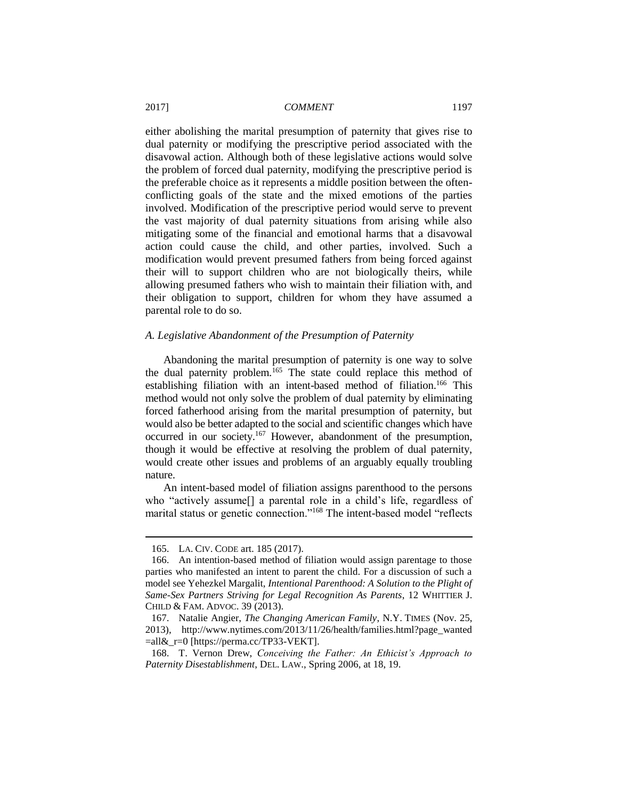either abolishing the marital presumption of paternity that gives rise to dual paternity or modifying the prescriptive period associated with the disavowal action. Although both of these legislative actions would solve the problem of forced dual paternity, modifying the prescriptive period is the preferable choice as it represents a middle position between the oftenconflicting goals of the state and the mixed emotions of the parties involved. Modification of the prescriptive period would serve to prevent the vast majority of dual paternity situations from arising while also mitigating some of the financial and emotional harms that a disavowal action could cause the child, and other parties, involved. Such a modification would prevent presumed fathers from being forced against their will to support children who are not biologically theirs, while allowing presumed fathers who wish to maintain their filiation with, and their obligation to support, children for whom they have assumed a parental role to do so.

#### *A. Legislative Abandonment of the Presumption of Paternity*

Abandoning the marital presumption of paternity is one way to solve the dual paternity problem.<sup>165</sup> The state could replace this method of establishing filiation with an intent-based method of filiation.<sup>166</sup> This method would not only solve the problem of dual paternity by eliminating forced fatherhood arising from the marital presumption of paternity, but would also be better adapted to the social and scientific changes which have occurred in our society.<sup>167</sup> However, abandonment of the presumption, though it would be effective at resolving the problem of dual paternity, would create other issues and problems of an arguably equally troubling nature.

An intent-based model of filiation assigns parenthood to the persons who "actively assume[] a parental role in a child's life, regardless of marital status or genetic connection."<sup>168</sup> The intent-based model "reflects

<sup>165.</sup> LA. CIV. CODE art. 185 (2017).

<sup>166.</sup> An intention-based method of filiation would assign parentage to those parties who manifested an intent to parent the child. For a discussion of such a model see Yehezkel Margalit, *Intentional Parenthood: A Solution to the Plight of Same-Sex Partners Striving for Legal Recognition As Parents*, 12 WHITTIER J. CHILD & FAM. ADVOC. 39 (2013).

<sup>167.</sup> Natalie Angier, *The Changing American Family*, N.Y. TIMES (Nov. 25, 2013), http://www.nytimes.com/2013/11/26/health/families.html?page\_wanted  $=$ all $\&$ r=0 [https://perma.cc/TP33-VEKT].

<sup>168.</sup> T. Vernon Drew, *Conceiving the Father: An Ethicist's Approach to Paternity Disestablishment*, DEL. LAW., Spring 2006, at 18, 19.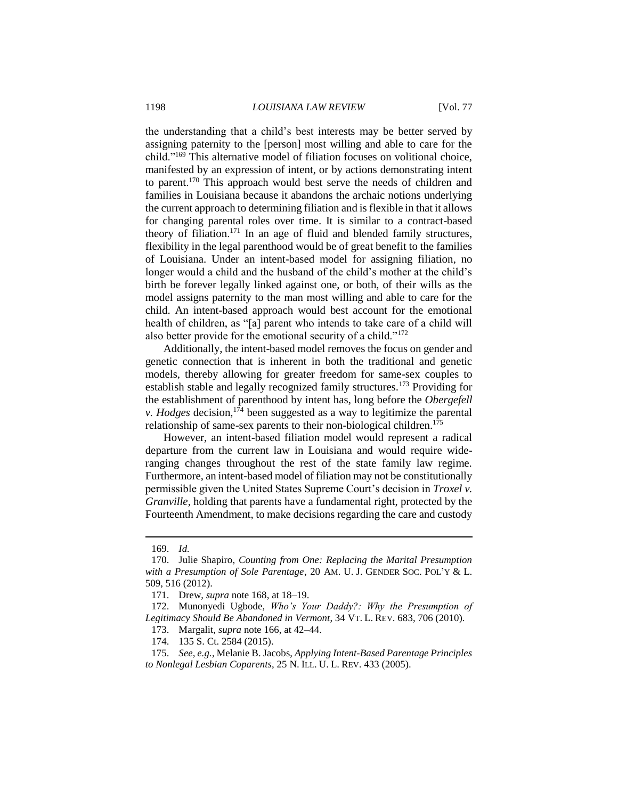the understanding that a child's best interests may be better served by assigning paternity to the [person] most willing and able to care for the child."<sup>169</sup> This alternative model of filiation focuses on volitional choice, manifested by an expression of intent, or by actions demonstrating intent to parent.<sup>170</sup> This approach would best serve the needs of children and families in Louisiana because it abandons the archaic notions underlying the current approach to determining filiation and is flexible in that it allows for changing parental roles over time. It is similar to a contract-based theory of filiation.<sup>171</sup> In an age of fluid and blended family structures, flexibility in the legal parenthood would be of great benefit to the families of Louisiana. Under an intent-based model for assigning filiation, no longer would a child and the husband of the child's mother at the child's birth be forever legally linked against one, or both, of their wills as the model assigns paternity to the man most willing and able to care for the child. An intent-based approach would best account for the emotional health of children, as "[a] parent who intends to take care of a child will also better provide for the emotional security of a child."<sup>172</sup>

Additionally, the intent-based model removes the focus on gender and genetic connection that is inherent in both the traditional and genetic models, thereby allowing for greater freedom for same-sex couples to establish stable and legally recognized family structures.<sup>173</sup> Providing for the establishment of parenthood by intent has, long before the *Obergefell v. Hodges* decision,<sup>174</sup> been suggested as a way to legitimize the parental relationship of same-sex parents to their non-biological children.<sup>175</sup>

However, an intent-based filiation model would represent a radical departure from the current law in Louisiana and would require wideranging changes throughout the rest of the state family law regime. Furthermore, an intent-based model of filiation may not be constitutionally permissible given the United States Supreme Court's decision in *Troxel v. Granville*, holding that parents have a fundamental right, protected by the Fourteenth Amendment, to make decisions regarding the care and custody

<sup>169.</sup> *Id.*

<sup>170.</sup> Julie Shapiro, *Counting from One: Replacing the Marital Presumption with a Presumption of Sole Parentage*, 20 AM. U. J. GENDER SOC. POL'Y & L. 509, 516 (2012).

<sup>171.</sup> Drew, *supra* note 168, at 18–19.

<sup>172.</sup> Munonyedi Ugbode, *Who's Your Daddy?: Why the Presumption of Legitimacy Should Be Abandoned in Vermont*, 34 VT. L. REV. 683, 706 (2010).

<sup>173.</sup> Margalit, *supra* note 166, at 42–44.

<sup>174.</sup> 135 S. Ct. 2584 (2015).

<sup>175.</sup> *See, e.g.*, Melanie B. Jacobs, *Applying Intent-Based Parentage Principles to Nonlegal Lesbian Coparents*, 25 N. ILL. U. L. REV. 433 (2005).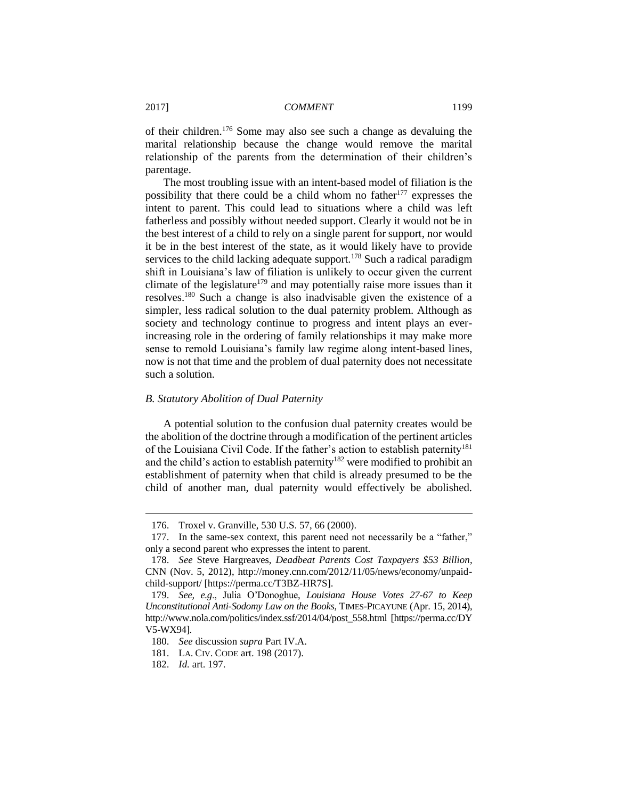of their children.<sup>176</sup> Some may also see such a change as devaluing the marital relationship because the change would remove the marital relationship of the parents from the determination of their children's parentage.

The most troubling issue with an intent-based model of filiation is the possibility that there could be a child whom no father<sup>177</sup> expresses the intent to parent. This could lead to situations where a child was left fatherless and possibly without needed support. Clearly it would not be in the best interest of a child to rely on a single parent for support, nor would it be in the best interest of the state, as it would likely have to provide services to the child lacking adequate support.<sup>178</sup> Such a radical paradigm shift in Louisiana's law of filiation is unlikely to occur given the current climate of the legislature<sup>179</sup> and may potentially raise more issues than it resolves.<sup>180</sup> Such a change is also inadvisable given the existence of a simpler, less radical solution to the dual paternity problem. Although as society and technology continue to progress and intent plays an everincreasing role in the ordering of family relationships it may make more sense to remold Louisiana's family law regime along intent-based lines, now is not that time and the problem of dual paternity does not necessitate such a solution.

#### *B. Statutory Abolition of Dual Paternity*

A potential solution to the confusion dual paternity creates would be the abolition of the doctrine through a modification of the pertinent articles of the Louisiana Civil Code. If the father's action to establish paternity<sup>181</sup> and the child's action to establish paternity<sup>182</sup> were modified to prohibit an establishment of paternity when that child is already presumed to be the child of another man, dual paternity would effectively be abolished.

<sup>176.</sup> Troxel v. Granville, 530 U.S. 57, 66 (2000).

<sup>177.</sup> In the same-sex context, this parent need not necessarily be a "father," only a second parent who expresses the intent to parent.

<sup>178.</sup> *See* Steve Hargreaves, *Deadbeat Parents Cost Taxpayers \$53 Billion*, CNN (Nov. 5, 2012), http://money.cnn.com/2012/11/05/news/economy/unpaidchild-support/ [https://perma.cc/T3BZ-HR7S].

<sup>179.</sup> *See, e.g*., Julia O'Donoghue, *Louisiana House Votes 27-67 to Keep Unconstitutional Anti-Sodomy Law on the Books*, TIMES-PICAYUNE (Apr. 15, 2014), http://www.nola.com/politics/index.ssf/2014/04/post\_558.html [https://perma.cc/DY V5-WX94].

<sup>180.</sup> *See* discussion *supra* Part IV.A.

<sup>181.</sup> LA. CIV. CODE art. 198 (2017).

<sup>182.</sup> *Id.* art. 197.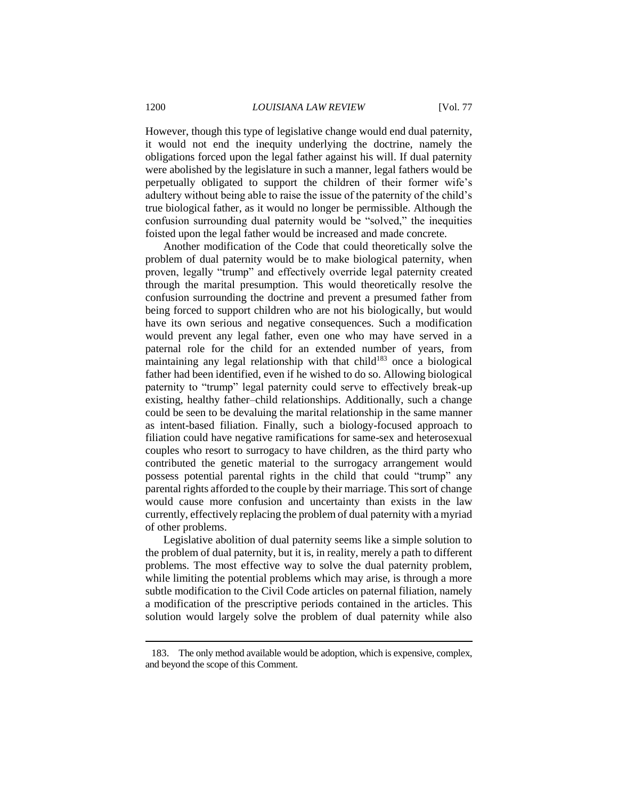However, though this type of legislative change would end dual paternity, it would not end the inequity underlying the doctrine, namely the obligations forced upon the legal father against his will. If dual paternity were abolished by the legislature in such a manner, legal fathers would be perpetually obligated to support the children of their former wife's adultery without being able to raise the issue of the paternity of the child's true biological father, as it would no longer be permissible. Although the confusion surrounding dual paternity would be "solved," the inequities foisted upon the legal father would be increased and made concrete.

Another modification of the Code that could theoretically solve the problem of dual paternity would be to make biological paternity, when proven, legally "trump" and effectively override legal paternity created through the marital presumption. This would theoretically resolve the confusion surrounding the doctrine and prevent a presumed father from being forced to support children who are not his biologically, but would have its own serious and negative consequences. Such a modification would prevent any legal father, even one who may have served in a paternal role for the child for an extended number of years, from maintaining any legal relationship with that child $183$  once a biological father had been identified, even if he wished to do so. Allowing biological paternity to "trump" legal paternity could serve to effectively break-up existing, healthy father–child relationships. Additionally, such a change could be seen to be devaluing the marital relationship in the same manner as intent-based filiation. Finally, such a biology-focused approach to filiation could have negative ramifications for same-sex and heterosexual couples who resort to surrogacy to have children, as the third party who contributed the genetic material to the surrogacy arrangement would possess potential parental rights in the child that could "trump" any parental rights afforded to the couple by their marriage. This sort of change would cause more confusion and uncertainty than exists in the law currently, effectively replacing the problem of dual paternity with a myriad of other problems.

Legislative abolition of dual paternity seems like a simple solution to the problem of dual paternity, but it is, in reality, merely a path to different problems. The most effective way to solve the dual paternity problem, while limiting the potential problems which may arise, is through a more subtle modification to the Civil Code articles on paternal filiation, namely a modification of the prescriptive periods contained in the articles. This solution would largely solve the problem of dual paternity while also

<sup>183.</sup> The only method available would be adoption, which is expensive, complex, and beyond the scope of this Comment.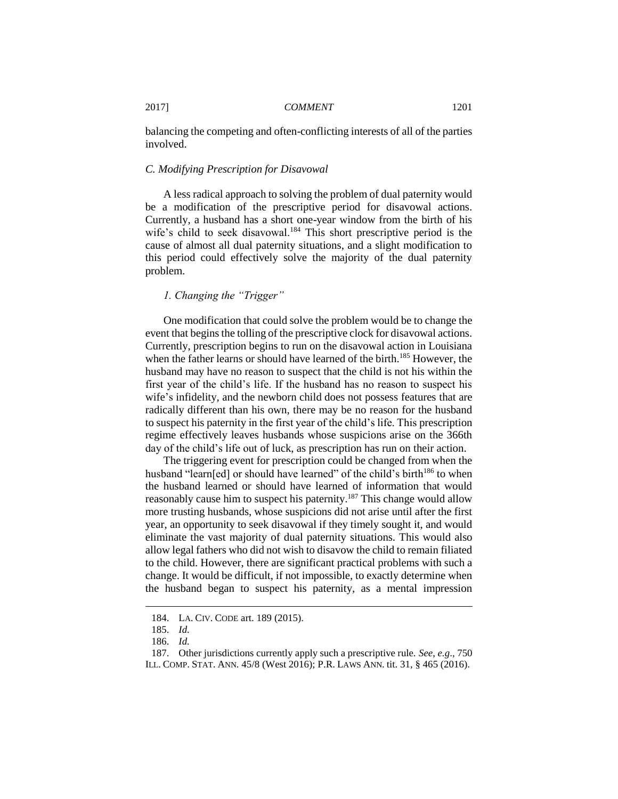balancing the competing and often-conflicting interests of all of the parties involved.

#### *C. Modifying Prescription for Disavowal*

A less radical approach to solving the problem of dual paternity would be a modification of the prescriptive period for disavowal actions. Currently, a husband has a short one-year window from the birth of his wife's child to seek disavowal.<sup>184</sup> This short prescriptive period is the cause of almost all dual paternity situations, and a slight modification to this period could effectively solve the majority of the dual paternity problem.

#### *1. Changing the "Trigger"*

One modification that could solve the problem would be to change the event that begins the tolling of the prescriptive clock for disavowal actions. Currently, prescription begins to run on the disavowal action in Louisiana when the father learns or should have learned of the birth.<sup>185</sup> However, the husband may have no reason to suspect that the child is not his within the first year of the child's life. If the husband has no reason to suspect his wife's infidelity, and the newborn child does not possess features that are radically different than his own, there may be no reason for the husband to suspect his paternity in the first year of the child's life. This prescription regime effectively leaves husbands whose suspicions arise on the 366th day of the child's life out of luck, as prescription has run on their action.

The triggering event for prescription could be changed from when the husband "learn[ed] or should have learned" of the child's birth<sup>186</sup> to when the husband learned or should have learned of information that would reasonably cause him to suspect his paternity.<sup>187</sup> This change would allow more trusting husbands, whose suspicions did not arise until after the first year, an opportunity to seek disavowal if they timely sought it, and would eliminate the vast majority of dual paternity situations. This would also allow legal fathers who did not wish to disavow the child to remain filiated to the child. However, there are significant practical problems with such a change. It would be difficult, if not impossible, to exactly determine when the husband began to suspect his paternity, as a mental impression

<sup>184.</sup> LA. CIV. CODE art. 189 (2015).

<sup>185.</sup> *Id.*

<sup>186.</sup> *Id.*

<sup>187.</sup> Other jurisdictions currently apply such a prescriptive rule. *See, e.g*., 750 ILL. COMP. STAT. ANN. 45/8 (West 2016); P.R. LAWS ANN. tit. 31, § 465 (2016).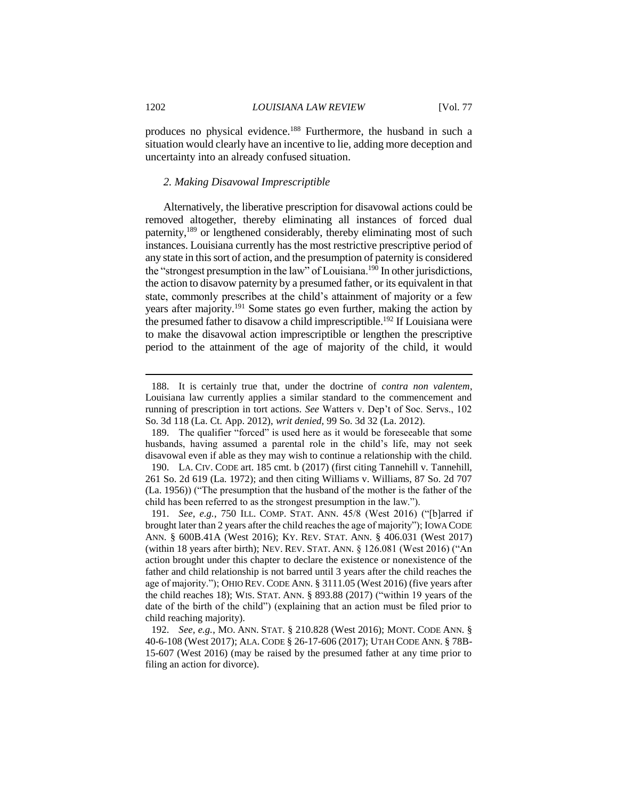produces no physical evidence.<sup>188</sup> Furthermore, the husband in such a situation would clearly have an incentive to lie, adding more deception and uncertainty into an already confused situation.

## *2. Making Disavowal Imprescriptible*

Alternatively, the liberative prescription for disavowal actions could be removed altogether, thereby eliminating all instances of forced dual paternity,<sup>189</sup> or lengthened considerably, thereby eliminating most of such instances. Louisiana currently has the most restrictive prescriptive period of any state in this sort of action, and the presumption of paternity is considered the "strongest presumption in the law" of Louisiana.<sup>190</sup> In other jurisdictions, the action to disavow paternity by a presumed father, or its equivalent in that state, commonly prescribes at the child's attainment of majority or a few years after majority.<sup>191</sup> Some states go even further, making the action by the presumed father to disavow a child imprescriptible.<sup>192</sup> If Louisiana were to make the disavowal action imprescriptible or lengthen the prescriptive period to the attainment of the age of majority of the child, it would

<sup>188.</sup> It is certainly true that, under the doctrine of *contra non valentem*, Louisiana law currently applies a similar standard to the commencement and running of prescription in tort actions. *See* Watters v. Dep't of Soc. Servs., 102 So. 3d 118 (La. Ct. App. 2012), *writ denied*, 99 So. 3d 32 (La. 2012).

<sup>189.</sup> The qualifier "forced" is used here as it would be foreseeable that some husbands, having assumed a parental role in the child's life, may not seek disavowal even if able as they may wish to continue a relationship with the child. 190. LA. CIV. CODE art. 185 cmt. b (2017) (first citing Tannehill v. Tannehill, 261 So. 2d 619 (La. 1972); and then citing Williams v. Williams, 87 So. 2d 707 (La. 1956)) ("The presumption that the husband of the mother is the father of the child has been referred to as the strongest presumption in the law.").

<sup>191.</sup> *See, e.g.*, 750 ILL. COMP. STAT. ANN. 45/8 (West 2016) ("[b]arred if brought later than 2 years after the child reaches the age of majority"); IOWA CODE ANN. § 600B.41A (West 2016); KY. REV. STAT. ANN. § 406.031 (West 2017) (within 18 years after birth); NEV. REV. STAT. ANN. § 126.081 (West 2016) ("An action brought under this chapter to declare the existence or nonexistence of the father and child relationship is not barred until 3 years after the child reaches the age of majority."); OHIO REV. CODE ANN. § 3111.05 (West 2016) (five years after the child reaches 18); WIS. STAT. ANN. § 893.88 (2017) ("within 19 years of the date of the birth of the child") (explaining that an action must be filed prior to child reaching majority).

<sup>192.</sup> *See, e.g.*, MO. ANN. STAT. § 210.828 (West 2016); MONT. CODE ANN. § 40-6-108 (West 2017); ALA. CODE § 26-17-606 (2017); UTAH CODE ANN. § 78B-15-607 (West 2016) (may be raised by the presumed father at any time prior to filing an action for divorce).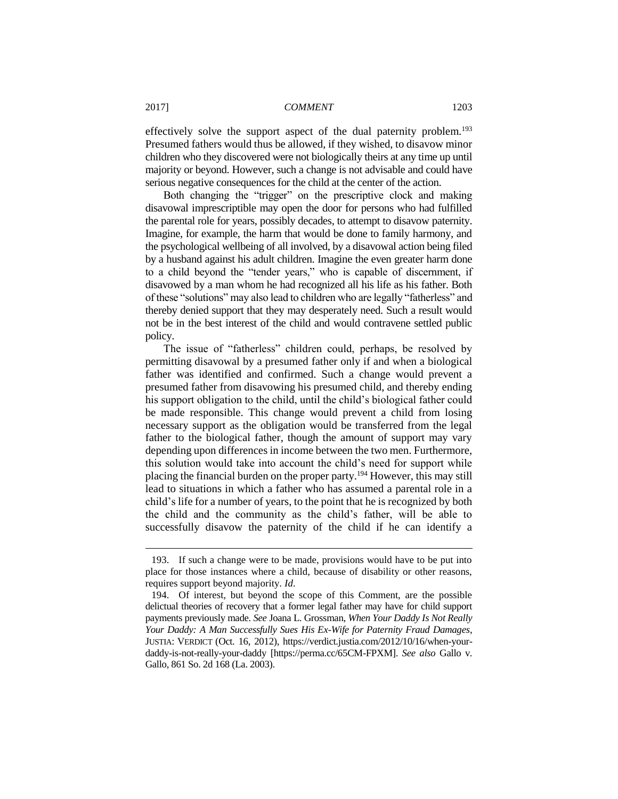effectively solve the support aspect of the dual paternity problem.<sup>193</sup> Presumed fathers would thus be allowed, if they wished, to disavow minor children who they discovered were not biologically theirs at any time up until majority or beyond. However, such a change is not advisable and could have serious negative consequences for the child at the center of the action.

Both changing the "trigger" on the prescriptive clock and making disavowal imprescriptible may open the door for persons who had fulfilled the parental role for years, possibly decades, to attempt to disavow paternity. Imagine, for example, the harm that would be done to family harmony, and the psychological wellbeing of all involved, by a disavowal action being filed by a husband against his adult children. Imagine the even greater harm done to a child beyond the "tender years," who is capable of discernment, if disavowed by a man whom he had recognized all his life as his father. Both of these "solutions" may also lead to children who are legally "fatherless" and thereby denied support that they may desperately need. Such a result would not be in the best interest of the child and would contravene settled public policy.

The issue of "fatherless" children could, perhaps, be resolved by permitting disavowal by a presumed father only if and when a biological father was identified and confirmed. Such a change would prevent a presumed father from disavowing his presumed child, and thereby ending his support obligation to the child, until the child's biological father could be made responsible. This change would prevent a child from losing necessary support as the obligation would be transferred from the legal father to the biological father, though the amount of support may vary depending upon differences in income between the two men. Furthermore, this solution would take into account the child's need for support while placing the financial burden on the proper party.<sup>194</sup> However, this may still lead to situations in which a father who has assumed a parental role in a child's life for a number of years, to the point that he is recognized by both the child and the community as the child's father, will be able to successfully disavow the paternity of the child if he can identify a

<sup>193.</sup> If such a change were to be made, provisions would have to be put into place for those instances where a child, because of disability or other reasons, requires support beyond majority. *Id*.

<sup>194.</sup> Of interest, but beyond the scope of this Comment, are the possible delictual theories of recovery that a former legal father may have for child support payments previously made. *See* Joana L. Grossman, *When Your Daddy Is Not Really Your Daddy: A Man Successfully Sues His Ex-Wife for Paternity Fraud Damages*, JUSTIA: VERDICT (Oct. 16, 2012), https://verdict.justia.com/2012/10/16/when-yourdaddy-is-not-really-your-daddy [https://perma.cc/65CM-FPXM]. *See also* Gallo v. Gallo, 861 So. 2d 168 (La. 2003).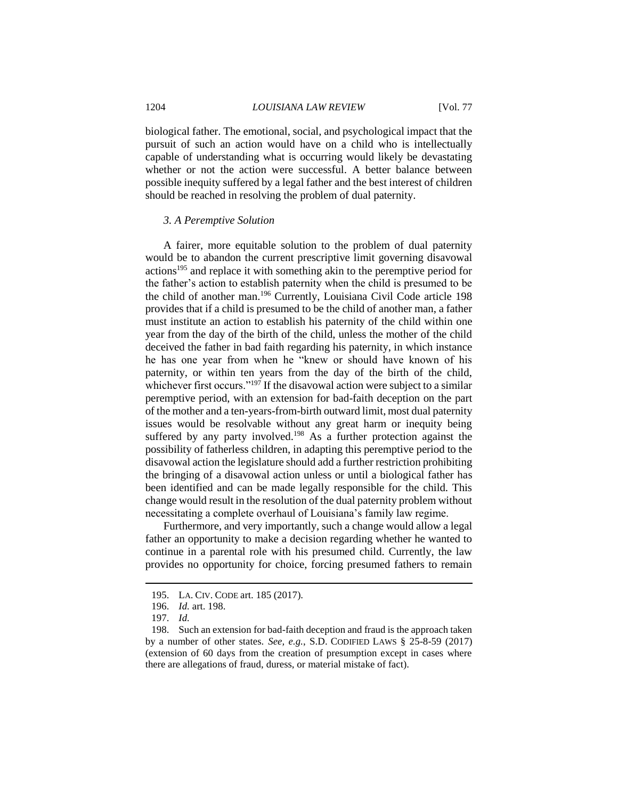biological father. The emotional, social, and psychological impact that the pursuit of such an action would have on a child who is intellectually capable of understanding what is occurring would likely be devastating whether or not the action were successful. A better balance between possible inequity suffered by a legal father and the best interest of children should be reached in resolving the problem of dual paternity.

#### *3. A Peremptive Solution*

A fairer, more equitable solution to the problem of dual paternity would be to abandon the current prescriptive limit governing disavowal actions<sup>195</sup> and replace it with something akin to the peremptive period for the father's action to establish paternity when the child is presumed to be the child of another man.<sup>196</sup> Currently, Louisiana Civil Code article 198 provides that if a child is presumed to be the child of another man, a father must institute an action to establish his paternity of the child within one year from the day of the birth of the child, unless the mother of the child deceived the father in bad faith regarding his paternity, in which instance he has one year from when he "knew or should have known of his paternity, or within ten years from the day of the birth of the child, whichever first occurs."<sup>197</sup> If the disavowal action were subject to a similar peremptive period, with an extension for bad-faith deception on the part of the mother and a ten-years-from-birth outward limit, most dual paternity issues would be resolvable without any great harm or inequity being suffered by any party involved.<sup>198</sup> As a further protection against the possibility of fatherless children, in adapting this peremptive period to the disavowal action the legislature should add a further restriction prohibiting the bringing of a disavowal action unless or until a biological father has been identified and can be made legally responsible for the child. This change would result in the resolution of the dual paternity problem without necessitating a complete overhaul of Louisiana's family law regime.

Furthermore, and very importantly, such a change would allow a legal father an opportunity to make a decision regarding whether he wanted to continue in a parental role with his presumed child. Currently, the law provides no opportunity for choice, forcing presumed fathers to remain

<sup>195.</sup> LA. CIV. CODE art. 185 (2017).

<sup>196.</sup> *Id.* art. 198.

<sup>197.</sup> *Id.*

<sup>198.</sup> Such an extension for bad-faith deception and fraud is the approach taken by a number of other states. *See, e.g.*, S.D. CODIFIED LAWS § 25-8-59 (2017) (extension of 60 days from the creation of presumption except in cases where there are allegations of fraud, duress, or material mistake of fact).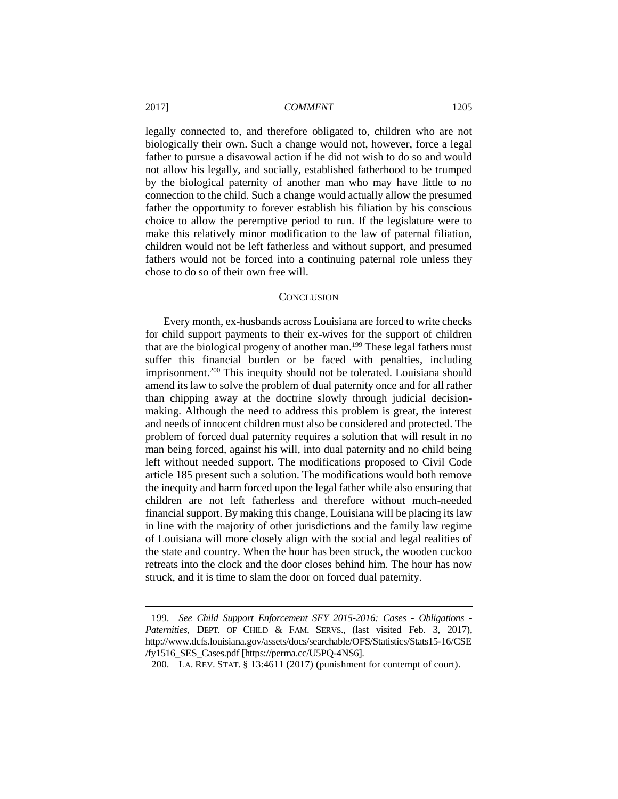legally connected to, and therefore obligated to, children who are not biologically their own. Such a change would not, however, force a legal father to pursue a disavowal action if he did not wish to do so and would not allow his legally, and socially, established fatherhood to be trumped by the biological paternity of another man who may have little to no connection to the child. Such a change would actually allow the presumed father the opportunity to forever establish his filiation by his conscious choice to allow the peremptive period to run. If the legislature were to make this relatively minor modification to the law of paternal filiation, children would not be left fatherless and without support, and presumed fathers would not be forced into a continuing paternal role unless they chose to do so of their own free will.

#### **CONCLUSION**

Every month, ex-husbands across Louisiana are forced to write checks for child support payments to their ex-wives for the support of children that are the biological progeny of another man.<sup>199</sup> These legal fathers must suffer this financial burden or be faced with penalties, including imprisonment.<sup>200</sup> This inequity should not be tolerated. Louisiana should amend its law to solve the problem of dual paternity once and for all rather than chipping away at the doctrine slowly through judicial decisionmaking. Although the need to address this problem is great, the interest and needs of innocent children must also be considered and protected. The problem of forced dual paternity requires a solution that will result in no man being forced, against his will, into dual paternity and no child being left without needed support. The modifications proposed to Civil Code article 185 present such a solution. The modifications would both remove the inequity and harm forced upon the legal father while also ensuring that children are not left fatherless and therefore without much-needed financial support. By making this change, Louisiana will be placing its law in line with the majority of other jurisdictions and the family law regime of Louisiana will more closely align with the social and legal realities of the state and country. When the hour has been struck, the wooden cuckoo retreats into the clock and the door closes behind him. The hour has now struck, and it is time to slam the door on forced dual paternity.

<sup>199.</sup> *See Child Support Enforcement SFY 2015-2016: Cases - Obligations - Paternities*, DEPT. OF CHILD & FAM. SERVS., (last visited Feb. 3, 2017), http://www.dcfs.louisiana.gov/assets/docs/searchable/OFS/Statistics/Stats15-16/CSE /fy1516\_SES\_Cases.pdf [https://perma.cc/U5PQ-4NS6].

<sup>200.</sup> LA. REV. STAT. § 13:4611 (2017) (punishment for contempt of court).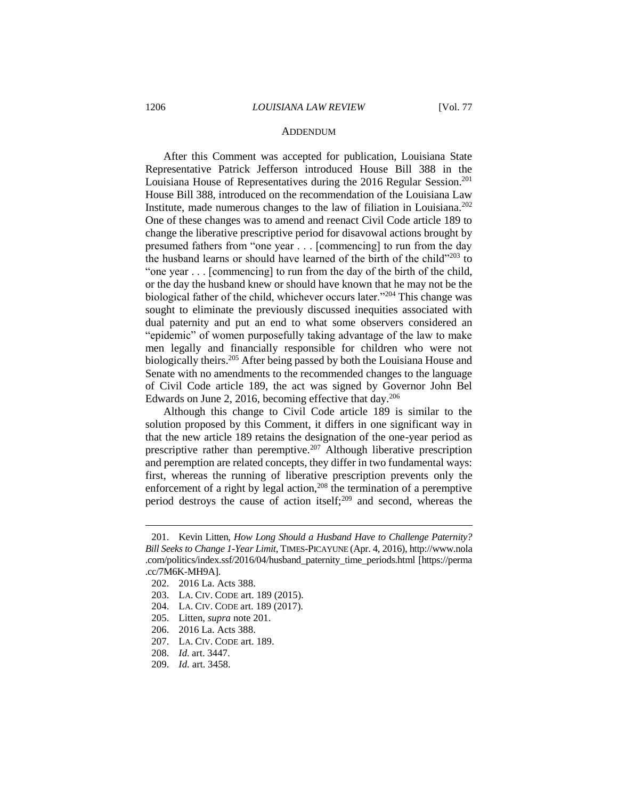#### ADDENDUM

After this Comment was accepted for publication, Louisiana State Representative Patrick Jefferson introduced House Bill 388 in the Louisiana House of Representatives during the 2016 Regular Session.<sup>201</sup> House Bill 388, introduced on the recommendation of the Louisiana Law Institute, made numerous changes to the law of filiation in Louisiana.<sup>202</sup> One of these changes was to amend and reenact Civil Code article 189 to change the liberative prescriptive period for disavowal actions brought by presumed fathers from "one year . . . [commencing] to run from the day the husband learns or should have learned of the birth of the child"<sup>203</sup> to "one year . . . [commencing] to run from the day of the birth of the child, or the day the husband knew or should have known that he may not be the biological father of the child, whichever occurs later."<sup>204</sup> This change was sought to eliminate the previously discussed inequities associated with dual paternity and put an end to what some observers considered an "epidemic" of women purposefully taking advantage of the law to make men legally and financially responsible for children who were not biologically theirs.<sup>205</sup> After being passed by both the Louisiana House and Senate with no amendments to the recommended changes to the language of Civil Code article 189, the act was signed by Governor John Bel Edwards on June 2, 2016, becoming effective that day.<sup>206</sup>

Although this change to Civil Code article 189 is similar to the solution proposed by this Comment, it differs in one significant way in that the new article 189 retains the designation of the one-year period as prescriptive rather than peremptive.<sup>207</sup> Although liberative prescription and peremption are related concepts, they differ in two fundamental ways: first, whereas the running of liberative prescription prevents only the enforcement of a right by legal action,<sup>208</sup> the termination of a peremptive period destroys the cause of action itself;<sup>209</sup> and second, whereas the

- 206. 2016 La. Acts 388.
- 207. LA. CIV. CODE art. 189.
- 208. *Id.* art. 3447.
- 209. *Id.* art. 3458.

<sup>201.</sup> Kevin Litten, *How Long Should a Husband Have to Challenge Paternity? Bill Seeks to Change 1-Year Limit*, TIMES-PICAYUNE (Apr. 4, 2016), http://www.nola .com/politics/index.ssf/2016/04/husband\_paternity\_time\_periods.html [https://perma .cc/7M6K-MH9A].

<sup>202.</sup> 2016 La. Acts 388.

<sup>203.</sup> LA. CIV. CODE art. 189 (2015).

<sup>204.</sup> LA. CIV. CODE art. 189 (2017).

<sup>205.</sup> Litten, *supra* note 201.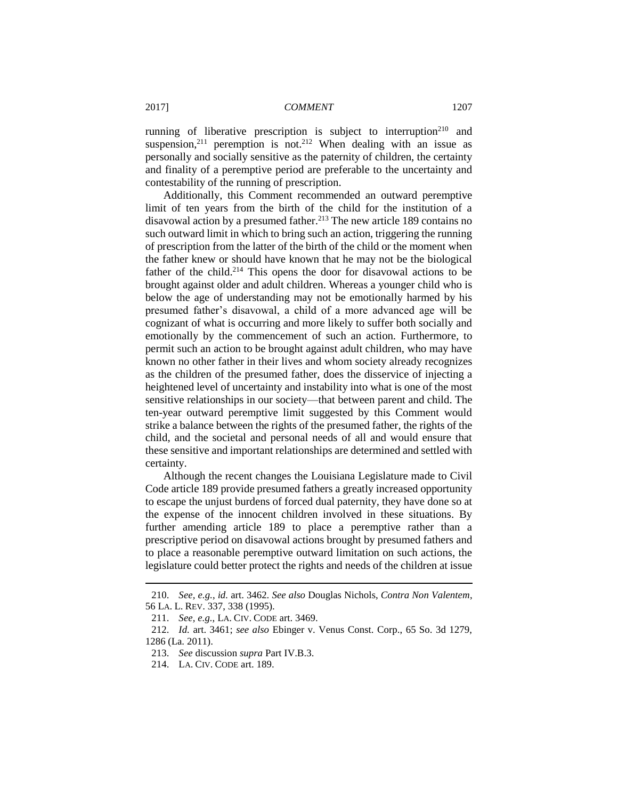running of liberative prescription is subject to interruption<sup>210</sup> and suspension,<sup>211</sup> peremption is not.<sup>212</sup> When dealing with an issue as personally and socially sensitive as the paternity of children, the certainty and finality of a peremptive period are preferable to the uncertainty and contestability of the running of prescription.

Additionally, this Comment recommended an outward peremptive limit of ten years from the birth of the child for the institution of a disavowal action by a presumed father.<sup>213</sup> The new article 189 contains no such outward limit in which to bring such an action, triggering the running of prescription from the latter of the birth of the child or the moment when the father knew or should have known that he may not be the biological father of the child.<sup>214</sup> This opens the door for disavowal actions to be brought against older and adult children. Whereas a younger child who is below the age of understanding may not be emotionally harmed by his presumed father's disavowal, a child of a more advanced age will be cognizant of what is occurring and more likely to suffer both socially and emotionally by the commencement of such an action. Furthermore, to permit such an action to be brought against adult children, who may have known no other father in their lives and whom society already recognizes as the children of the presumed father, does the disservice of injecting a heightened level of uncertainty and instability into what is one of the most sensitive relationships in our society—that between parent and child. The ten-year outward peremptive limit suggested by this Comment would strike a balance between the rights of the presumed father, the rights of the child, and the societal and personal needs of all and would ensure that these sensitive and important relationships are determined and settled with certainty.

Although the recent changes the Louisiana Legislature made to Civil Code article 189 provide presumed fathers a greatly increased opportunity to escape the unjust burdens of forced dual paternity, they have done so at the expense of the innocent children involved in these situations. By further amending article 189 to place a peremptive rather than a prescriptive period on disavowal actions brought by presumed fathers and to place a reasonable peremptive outward limitation on such actions, the legislature could better protect the rights and needs of the children at issue

<sup>210.</sup> *See, e.g.*, *id.* art. 3462. *See also* Douglas Nichols, *Contra Non Valentem*, 56 LA. L. REV. 337, 338 (1995).

<sup>211.</sup> *See, e.g.*, LA. CIV. CODE art. 3469.

<sup>212.</sup> *Id.* art. 3461; *see also* Ebinger v. Venus Const. Corp., 65 So. 3d 1279, 1286 (La. 2011).

<sup>213.</sup> *See* discussion *supra* Part IV.B.3.

<sup>214.</sup> LA. CIV. CODE art. 189.